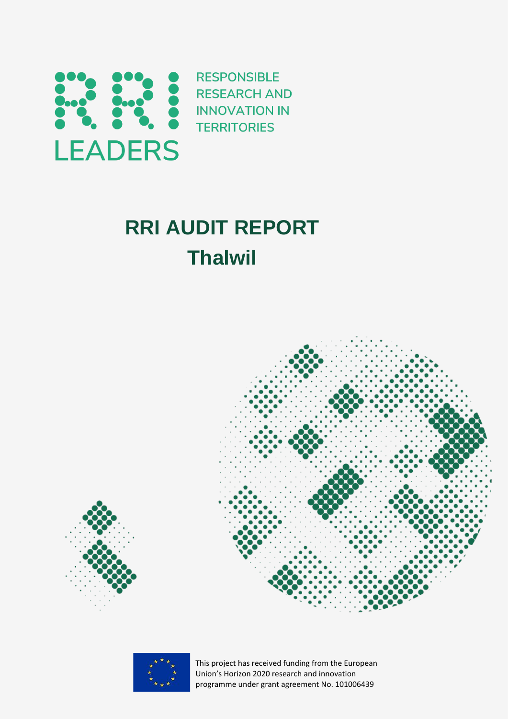

# **RRI AUDIT REPORT Thalwil**



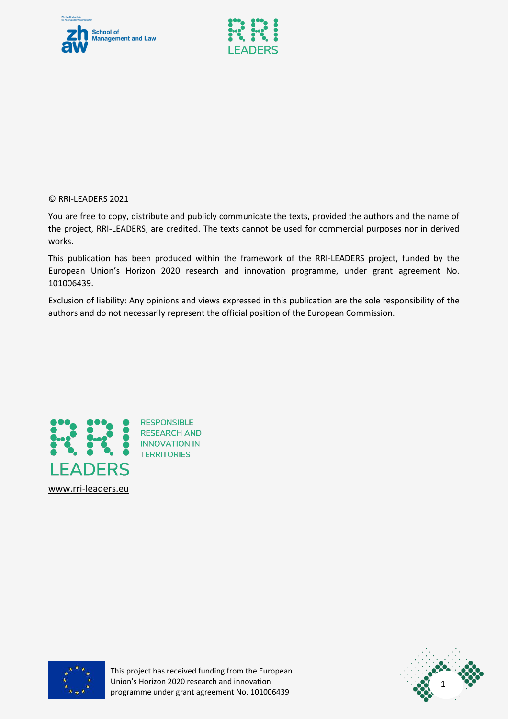



© RRI-LEADERS 2021

You are free to copy, distribute and publicly communicate the texts, provided the authors and the name of the project, RRI-LEADERS, are credited. The texts cannot be used for commercial purposes nor in derived works.

This publication has been produced within the framework of the RRI-LEADERS project, funded by the European Union's Horizon 2020 research and innovation programme, under grant agreement No. 101006439.

Exclusion of liability: Any opinions and views expressed in this publication are the sole responsibility of the authors and do not necessarily represent the official position of the European Commission.



**RESPONSIBLE RESEARCH AND TERRITORIES** 



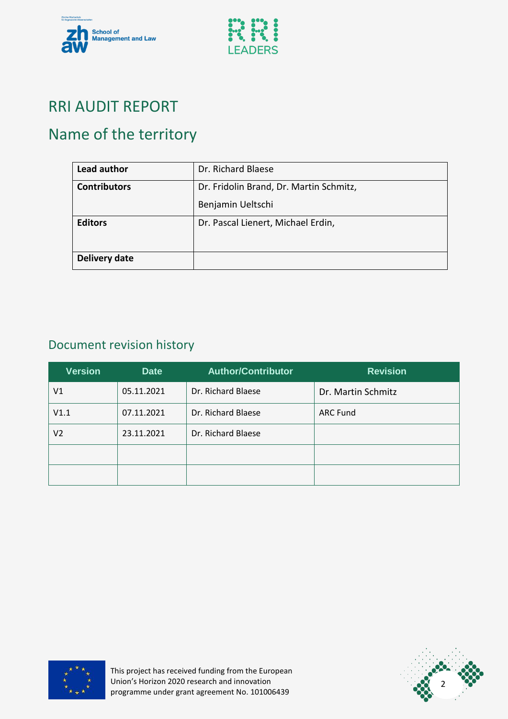



### RRI AUDIT REPORT

# Name of the territory

| Lead author         | Dr. Richard Blaese                      |
|---------------------|-----------------------------------------|
| <b>Contributors</b> | Dr. Fridolin Brand, Dr. Martin Schmitz, |
|                     | Benjamin Ueltschi                       |
| <b>Editors</b>      | Dr. Pascal Lienert, Michael Erdin,      |
| Delivery date       |                                         |

### Document revision history

| <b>Version</b> | <b>Date</b> | <b>Author/Contributor</b> | <b>Revision</b>    |
|----------------|-------------|---------------------------|--------------------|
| V1             | 05.11.2021  | Dr. Richard Blaese        | Dr. Martin Schmitz |
| V1.1           | 07.11.2021  | Dr. Richard Blaese        | <b>ARC Fund</b>    |
| V2             | 23.11.2021  | Dr. Richard Blaese        |                    |
|                |             |                           |                    |
|                |             |                           |                    |



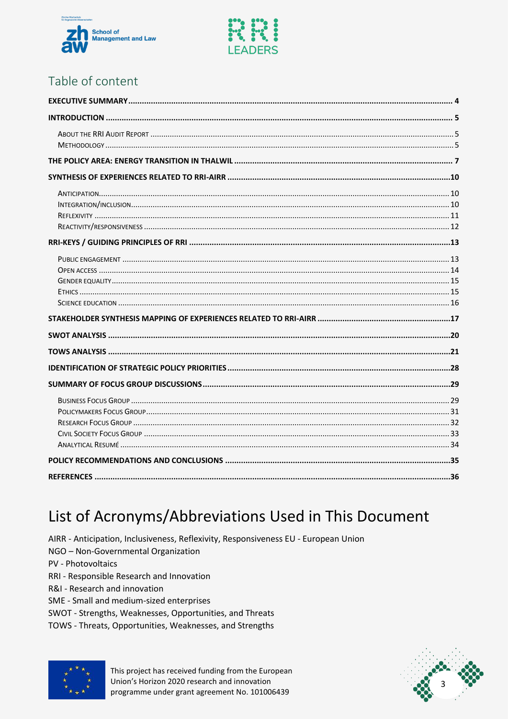



### Table of content

### List of Acronyms/Abbreviations Used in This Document

AIRR - Anticipation, Inclusiveness, Reflexivity, Responsiveness EU - European Union NGO - Non-Governmental Organization

PV - Photovoltaics

- RRI Responsible Research and Innovation
- R&I Research and innovation
- SME Small and medium-sized enterprises
- SWOT Strengths, Weaknesses, Opportunities, and Threats
- TOWS Threats, Opportunities, Weaknesses, and Strengths



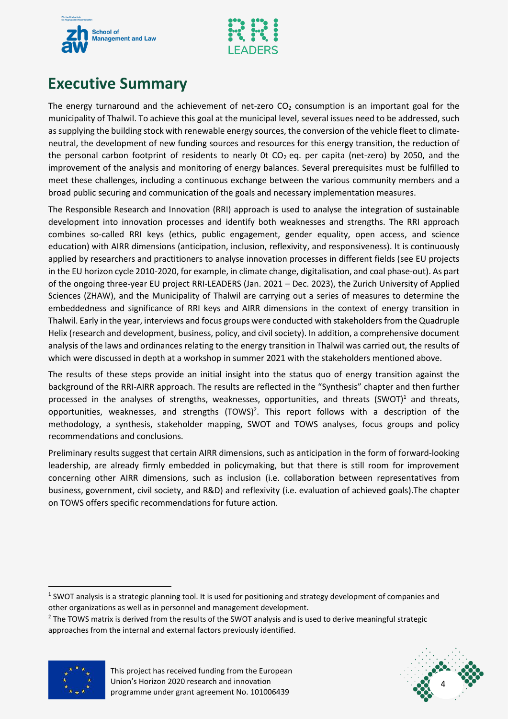



### <span id="page-4-0"></span>**Executive Summary**

The energy turnaround and the achievement of net-zero  $CO<sub>2</sub>$  consumption is an important goal for the municipality of Thalwil. To achieve this goal at the municipal level, several issues need to be addressed, such as supplying the building stock with renewable energy sources, the conversion of the vehicle fleet to climateneutral, the development of new funding sources and resources for this energy transition, the reduction of the personal carbon footprint of residents to nearly 0t  $CO<sub>2</sub>$  eq. per capita (net-zero) by 2050, and the improvement of the analysis and monitoring of energy balances. Several prerequisites must be fulfilled to meet these challenges, including a continuous exchange between the various community members and a broad public securing and communication of the goals and necessary implementation measures.

The Responsible Research and Innovation (RRI) approach is used to analyse the integration of sustainable development into innovation processes and identify both weaknesses and strengths. The RRI approach combines so-called RRI keys (ethics, public engagement, gender equality, open access, and science education) with AIRR dimensions (anticipation, inclusion, reflexivity, and responsiveness). It is continuously applied by researchers and practitioners to analyse innovation processes in different fields (see EU projects in the EU horizon cycle 2010-2020, for example, in climate change, digitalisation, and coal phase-out). As part of the ongoing three-year EU project RRI-LEADERS (Jan. 2021 – Dec. 2023), the Zurich University of Applied Sciences (ZHAW), and the Municipality of Thalwil are carrying out a series of measures to determine the embeddedness and significance of RRI keys and AIRR dimensions in the context of energy transition in Thalwil. Early in the year, interviews and focus groups were conducted with stakeholders from the Quadruple Helix (research and development, business, policy, and civil society). In addition, a comprehensive document analysis of the laws and ordinances relating to the energy transition in Thalwil was carried out, the results of which were discussed in depth at a workshop in summer 2021 with the stakeholders mentioned above.

The results of these steps provide an initial insight into the status quo of energy transition against the background of the RRI-AIRR approach. The results are reflected in the "Synthesis" chapter and then further processed in the analyses of strengths, weaknesses, opportunities, and threats  $(SWOT)^1$  and threats, opportunities, weaknesses, and strengths  $(TOWS)^2$ . This report follows with a description of the methodology, a synthesis, stakeholder mapping, SWOT and TOWS analyses, focus groups and policy recommendations and conclusions.

Preliminary results suggest that certain AIRR dimensions, such as anticipation in the form of forward-looking leadership, are already firmly embedded in policymaking, but that there is still room for improvement concerning other AIRR dimensions, such as inclusion (i.e. collaboration between representatives from business, government, civil society, and R&D) and reflexivity (i.e. evaluation of achieved goals).The chapter on TOWS offers specific recommendations for future action.

<sup>&</sup>lt;sup>2</sup> The TOWS matrix is derived from the results of the SWOT analysis and is used to derive meaningful strategic approaches from the internal and external factors previously identified.





 $1$  SWOT analysis is a strategic planning tool. It is used for positioning and strategy development of companies and other organizations as well as in personnel and management development.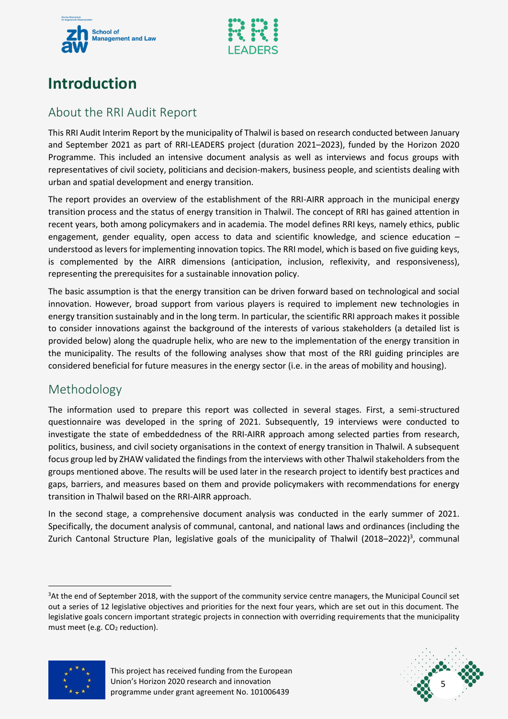



### <span id="page-5-0"></span>**Introduction**

### <span id="page-5-1"></span>About the RRI Audit Report

This RRI Audit Interim Report by the municipality of Thalwil is based on research conducted between January and September 2021 as part of RRI-LEADERS project (duration 2021–2023), funded by the Horizon 2020 Programme. This included an intensive document analysis as well as interviews and focus groups with representatives of civil society, politicians and decision-makers, business people, and scientists dealing with urban and spatial development and energy transition.

The report provides an overview of the establishment of the RRI-AIRR approach in the municipal energy transition process and the status of energy transition in Thalwil. The concept of RRI has gained attention in recent years, both among policymakers and in academia. The model defines RRI keys, namely ethics, public engagement, gender equality, open access to data and scientific knowledge, and science education – understood as levers for implementing innovation topics. The RRI model, which is based on five guiding keys, is complemented by the AIRR dimensions (anticipation, inclusion, reflexivity, and responsiveness), representing the prerequisites for a sustainable innovation policy.

The basic assumption is that the energy transition can be driven forward based on technological and social innovation. However, broad support from various players is required to implement new technologies in energy transition sustainably and in the long term. In particular, the scientific RRI approach makes it possible to consider innovations against the background of the interests of various stakeholders (a detailed list is provided below) along the quadruple helix, who are new to the implementation of the energy transition in the municipality. The results of the following analyses show that most of the RRI guiding principles are considered beneficial for future measures in the energy sector (i.e. in the areas of mobility and housing).

#### <span id="page-5-2"></span>Methodology

The information used to prepare this report was collected in several stages. First, a semi-structured questionnaire was developed in the spring of 2021. Subsequently, 19 interviews were conducted to investigate the state of embeddedness of the RRI-AIRR approach among selected parties from research, politics, business, and civil society organisations in the context of energy transition in Thalwil. A subsequent focus group led by ZHAW validated the findings from the interviews with other Thalwil stakeholders from the groups mentioned above. The results will be used later in the research project to identify best practices and gaps, barriers, and measures based on them and provide policymakers with recommendations for energy transition in Thalwil based on the RRI-AIRR approach.

In the second stage, a comprehensive document analysis was conducted in the early summer of 2021. Specifically, the document analysis of communal, cantonal, and national laws and ordinances (including the Zurich Cantonal Structure Plan, legislative goals of the municipality of Thalwil (2018–2022)<sup>3</sup>, communal

<sup>&</sup>lt;sup>3</sup>At the end of September 2018, with the support of the community service centre managers, the Municipal Council set out a series of 12 legislative objectives and priorities for the next four years, which are set out in this document. The legislative goals concern important strategic projects in connection with overriding requirements that the municipality must meet (e.g.  $CO<sub>2</sub>$  reduction).





This project has received funding from the European Union's Horizon 2020 research and innovation programme under grant agreement No. 101006439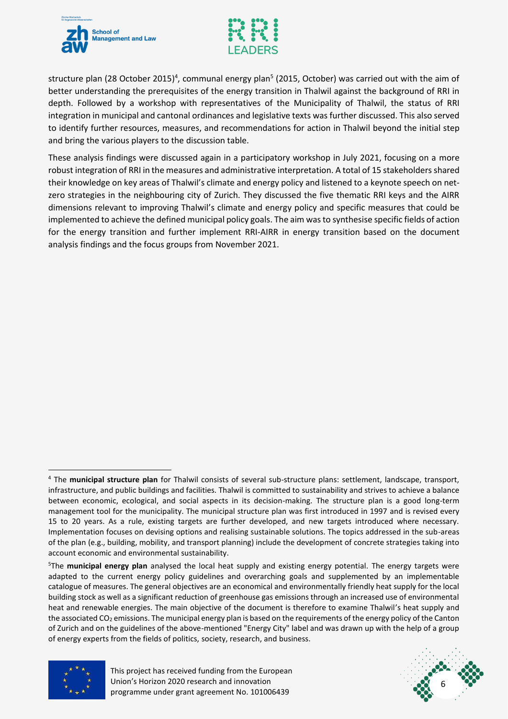



structure plan (28 October 2015)<sup>4</sup>, communal energy plan<sup>5</sup> (2015, October) was carried out with the aim of better understanding the prerequisites of the energy transition in Thalwil against the background of RRI in depth. Followed by a workshop with representatives of the Municipality of Thalwil, the status of RRI integration in municipal and cantonal ordinances and legislative texts was further discussed. This also served to identify further resources, measures, and recommendations for action in Thalwil beyond the initial step and bring the various players to the discussion table.

These analysis findings were discussed again in a participatory workshop in July 2021, focusing on a more robust integration of RRI in the measures and administrative interpretation. A total of 15 stakeholders shared their knowledge on key areas of Thalwil's climate and energy policy and listened to a keynote speech on netzero strategies in the neighbouring city of Zurich. They discussed the five thematic RRI keys and the AIRR dimensions relevant to improving Thalwil's climate and energy policy and specific measures that could be implemented to achieve the defined municipal policy goals. The aim was to synthesise specific fields of action for the energy transition and further implement RRI-AIRR in energy transition based on the document analysis findings and the focus groups from November 2021.

<sup>5</sup>The **municipal energy plan** analysed the local heat supply and existing energy potential. The energy targets were adapted to the current energy policy guidelines and overarching goals and supplemented by an implementable catalogue of measures. The general objectives are an economical and environmentally friendly heat supply for the local building stock as well as a significant reduction of greenhouse gas emissions through an increased use of environmental heat and renewable energies. The main objective of the document is therefore to examine Thalwil's heat supply and the associated CO<sub>2</sub> emissions. The municipal energy plan is based on the requirements of the energy policy of the Canton of Zurich and on the guidelines of the above-mentioned "Energy City" label and was drawn up with the help of a group of energy experts from the fields of politics, society, research, and business.



<u>.</u>



<sup>4</sup> The **municipal structure plan** for Thalwil consists of several sub-structure plans: settlement, landscape, transport, infrastructure, and public buildings and facilities. Thalwil is committed to sustainability and strives to achieve a balance between economic, ecological, and social aspects in its decision-making. The structure plan is a good long-term management tool for the municipality. The municipal structure plan was first introduced in 1997 and is revised every 15 to 20 years. As a rule, existing targets are further developed, and new targets introduced where necessary. Implementation focuses on devising options and realising sustainable solutions. The topics addressed in the sub-areas of the plan (e.g., building, mobility, and transport planning) include the development of concrete strategies taking into account economic and environmental sustainability.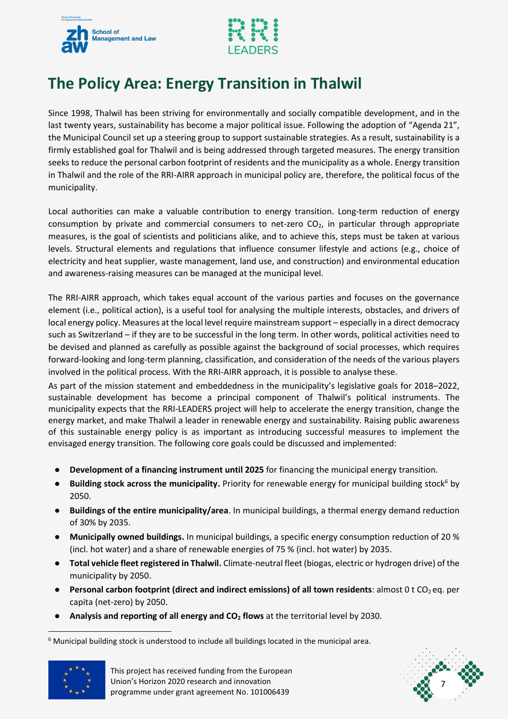



# <span id="page-7-0"></span>**The Policy Area: Energy Transition in Thalwil**

Since 1998, Thalwil has been striving for environmentally and socially compatible development, and in the last twenty years, sustainability has become a major political issue. Following the adoption of "Agenda 21", the Municipal Council set up a steering group to support sustainable strategies. As a result, sustainability is a firmly established goal for Thalwil and is being addressed through targeted measures. The energy transition seeks to reduce the personal carbon footprint of residents and the municipality as a whole. Energy transition in Thalwil and the role of the RRI-AIRR approach in municipal policy are, therefore, the political focus of the municipality.

Local authorities can make a valuable contribution to energy transition. Long-term reduction of energy consumption by private and commercial consumers to net-zero  $CO<sub>2</sub>$ , in particular through appropriate measures, is the goal of scientists and politicians alike, and to achieve this, steps must be taken at various levels. Structural elements and regulations that influence consumer lifestyle and actions (e.g., choice of electricity and heat supplier, waste management, land use, and construction) and environmental education and awareness-raising measures can be managed at the municipal level.

The RRI-AIRR approach, which takes equal account of the various parties and focuses on the governance element (i.e., political action), is a useful tool for analysing the multiple interests, obstacles, and drivers of local energy policy. Measures at the local level require mainstream support – especially in a direct democracy such as Switzerland – if they are to be successful in the long term. In other words, political activities need to be devised and planned as carefully as possible against the background of social processes, which requires forward-looking and long-term planning, classification, and consideration of the needs of the various players involved in the political process. With the RRI-AIRR approach, it is possible to analyse these.

As part of the mission statement and embeddedness in the municipality's legislative goals for 2018–2022, sustainable development has become a principal component of Thalwil's political instruments. The municipality expects that the RRI-LEADERS project will help to accelerate the energy transition, change the energy market, and make Thalwil a leader in renewable energy and sustainability. Raising public awareness of this sustainable energy policy is as important as introducing successful measures to implement the envisaged energy transition. The following core goals could be discussed and implemented:

- **Development of a financing instrument until 2025** for financing the municipal energy transition.
- Building stock across the municipality. Priority for renewable energy for municipal building stock<sup>6</sup> by 2050.
- **Buildings of the entire municipality/area**. In municipal buildings, a thermal energy demand reduction of 30% by 2035.
- **Municipally owned buildings.** In municipal buildings, a specific energy consumption reduction of 20 % (incl. hot water) and a share of renewable energies of 75 % (incl. hot water) by 2035.
- **Total vehicle fleet registered in Thalwil.** Climate-neutral fleet (biogas, electric or hydrogen drive) of the municipality by 2050.
- **•** Personal carbon footprint (direct and indirect emissions) of all town residents: almost 0 t CO<sub>2</sub> eq. per capita (net-zero) by 2050.
- **Analysis and reporting of all energy and CO<sup>2</sup> flows** at the territorial level by 2030.

 $6$  Municipal building stock is understood to include all buildings located in the municipal area.



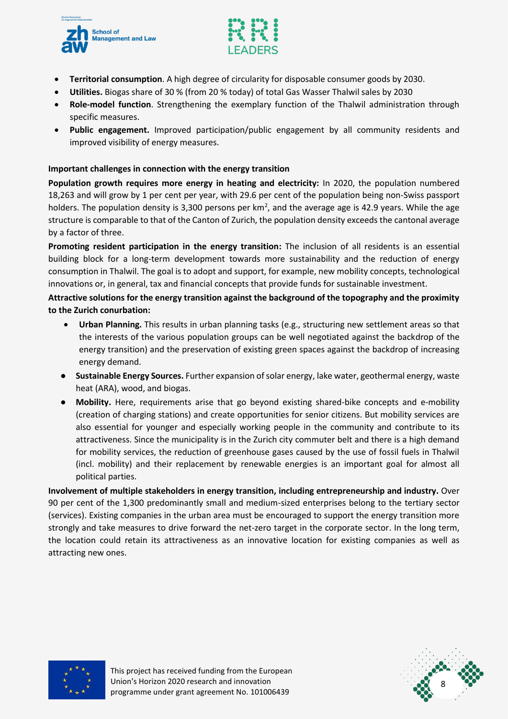



- **Territorial consumption**. A high degree of circularity for disposable consumer goods by 2030.
- **Utilities.** Biogas share of 30 % (from 20 % today) of total Gas Wasser Thalwil sales by 2030
- **Role-model function**. Strengthening the exemplary function of the Thalwil administration through specific measures.
- **Public engagement.** Improved participation/public engagement by all community residents and improved visibility of energy measures.

#### **Important challenges in connection with the energy transition**

**Population growth requires more energy in heating and electricity:** In 2020, the population numbered 18,263 and will grow by 1 per cent per year, with 29.6 per cent of the population being non-Swiss passport holders. The population density is 3,300 persons per  $km^2$ , and the average age is 42.9 years. While the age structure is comparable to that of the Canton of Zurich, the population density exceeds the cantonal average by a factor of three.

**Promoting resident participation in the energy transition:** The inclusion of all residents is an essential building block for a long-term development towards more sustainability and the reduction of energy consumption in Thalwil. The goal is to adopt and support, for example, new mobility concepts, technological innovations or, in general, tax and financial concepts that provide funds for sustainable investment.

#### **Attractive solutions for the energy transition against the background of the topography and the proximity to the Zurich conurbation:**

- **Urban Planning.** This results in urban planning tasks (e.g., structuring new settlement areas so that the interests of the various population groups can be well negotiated against the backdrop of the energy transition) and the preservation of existing green spaces against the backdrop of increasing energy demand.
- **Sustainable Energy Sources.** Further expansion of solar energy, lake water, geothermal energy, waste heat (ARA), wood, and biogas.
- **Mobility.** Here, requirements arise that go beyond existing shared-bike concepts and e-mobility (creation of charging stations) and create opportunities for senior citizens. But mobility services are also essential for younger and especially working people in the community and contribute to its attractiveness. Since the municipality is in the Zurich city commuter belt and there is a high demand for mobility services, the reduction of greenhouse gases caused by the use of fossil fuels in Thalwil (incl. mobility) and their replacement by renewable energies is an important goal for almost all political parties.

**Involvement of multiple stakeholders in energy transition, including entrepreneurship and industry.** Over 90 per cent of the 1,300 predominantly small and medium-sized enterprises belong to the tertiary sector (services). Existing companies in the urban area must be encouraged to support the energy transition more strongly and take measures to drive forward the net-zero target in the corporate sector. In the long term, the location could retain its attractiveness as an innovative location for existing companies as well as attracting new ones.



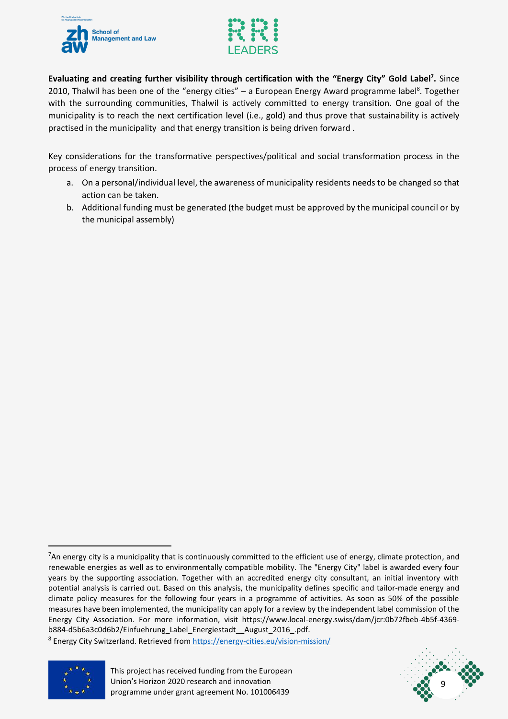



**Evaluating and creating further visibility through certification with the "Energy City" Gold Label<sup>7</sup> .** Since 2010, Thalwil has been one of the "energy cities" - a European Energy Award programme label<sup>8</sup>. Together with the surrounding communities, Thalwil is actively committed to energy transition. One goal of the municipality is to reach the next certification level (i.e., gold) and thus prove that sustainability is actively practised in the municipality and that energy transition is being driven forward .

Key considerations for the transformative perspectives/political and social transformation process in the process of energy transition.

- a. On a personal/individual level, the awareness of municipality residents needs to be changed so that action can be taken.
- b. Additional funding must be generated (the budget must be approved by the municipal council or by the municipal assembly)

<sup>&</sup>lt;sup>8</sup> Energy City Switzerland. Retrieved from https://energy-cities.eu/vision-mission/





 $<sup>7</sup>$ An energy city is a municipality that is continuously committed to the efficient use of energy, climate protection, and</sup> renewable energies as well as to environmentally compatible mobility. The "Energy City" label is awarded every four years by the supporting association. Together with an accredited energy city consultant, an initial inventory with potential analysis is carried out. Based on this analysis, the municipality defines specific and tailor-made energy and climate policy measures for the following four years in a programme of activities. As soon as 50% of the possible measures have been implemented, the municipality can apply for a review by the independent label commission of the Energy City Association. For more information, visit https://www.local-energy.swiss/dam/jcr:0b72fbeb-4b5f-4369 b884-d5b6a3c0d6b2/Einfuehrung\_Label\_Energiestadt\_\_August\_2016\_.pdf.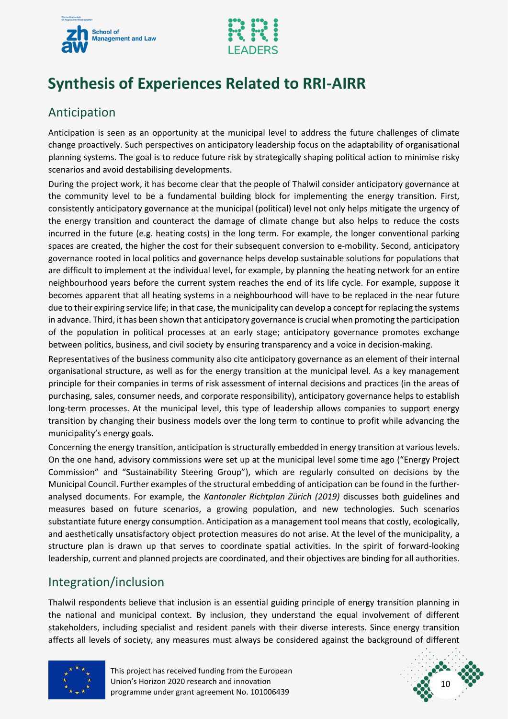



# <span id="page-10-0"></span>**Synthesis of Experiences Related to RRI-AIRR**

### <span id="page-10-1"></span>Anticipation

Anticipation is seen as an opportunity at the municipal level to address the future challenges of climate change proactively. Such perspectives on anticipatory leadership focus on the adaptability of organisational planning systems. The goal is to reduce future risk by strategically shaping political action to minimise risky scenarios and avoid destabilising developments.

During the project work, it has become clear that the people of Thalwil consider anticipatory governance at the community level to be a fundamental building block for implementing the energy transition. First, consistently anticipatory governance at the municipal (political) level not only helps mitigate the urgency of the energy transition and counteract the damage of climate change but also helps to reduce the costs incurred in the future (e.g. heating costs) in the long term. For example, the longer conventional parking spaces are created, the higher the cost for their subsequent conversion to e-mobility. Second, anticipatory governance rooted in local politics and governance helps develop sustainable solutions for populations that are difficult to implement at the individual level, for example, by planning the heating network for an entire neighbourhood years before the current system reaches the end of its life cycle. For example, suppose it becomes apparent that all heating systems in a neighbourhood will have to be replaced in the near future due to their expiring service life; in that case, the municipality can develop a concept for replacing the systems in advance. Third, it has been shown that anticipatory governance is crucial when promoting the participation of the population in political processes at an early stage; anticipatory governance promotes exchange between politics, business, and civil society by ensuring transparency and a voice in decision-making.

Representatives of the business community also cite anticipatory governance as an element of their internal organisational structure, as well as for the energy transition at the municipal level. As a key management principle for their companies in terms of risk assessment of internal decisions and practices (in the areas of purchasing, sales, consumer needs, and corporate responsibility), anticipatory governance helps to establish long-term processes. At the municipal level, this type of leadership allows companies to support energy transition by changing their business models over the long term to continue to profit while advancing the municipality's energy goals.

Concerning the energy transition, anticipation is structurally embedded in energy transition at various levels. On the one hand, advisory commissions were set up at the municipal level some time ago ("Energy Project Commission" and "Sustainability Steering Group"), which are regularly consulted on decisions by the Municipal Council. Further examples of the structural embedding of anticipation can be found in the furtheranalysed documents. For example, the *Kantonaler Richtplan Zürich (2019)* discusses both guidelines and measures based on future scenarios, a growing population, and new technologies. Such scenarios substantiate future energy consumption. Anticipation as a management tool means that costly, ecologically, and aesthetically unsatisfactory object protection measures do not arise. At the level of the municipality, a structure plan is drawn up that serves to coordinate spatial activities. In the spirit of forward-looking leadership, current and planned projects are coordinated, and their objectives are binding for all authorities.

#### <span id="page-10-2"></span>Integration/inclusion

Thalwil respondents believe that inclusion is an essential guiding principle of energy transition planning in the national and municipal context. By inclusion, they understand the equal involvement of different stakeholders, including specialist and resident panels with their diverse interests. Since energy transition affects all levels of society, any measures must always be considered against the background of different



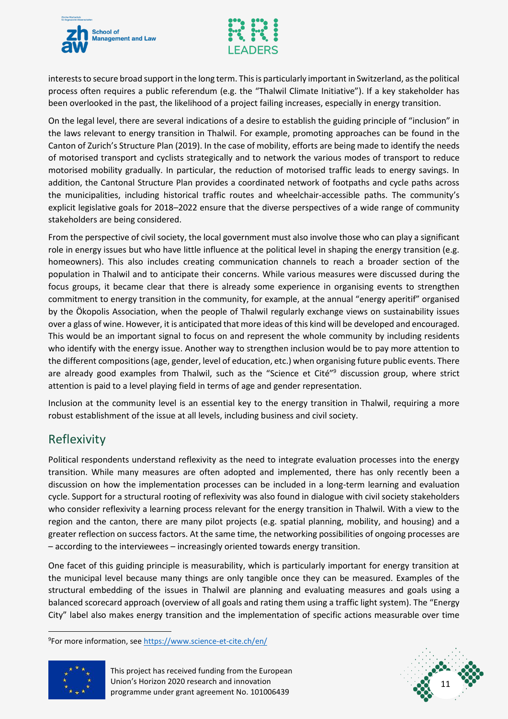



interests to secure broad support in the long term. This is particularly important in Switzerland, as the political process often requires a public referendum (e.g. the "Thalwil Climate Initiative"). If a key stakeholder has been overlooked in the past, the likelihood of a project failing increases, especially in energy transition.

On the legal level, there are several indications of a desire to establish the guiding principle of "inclusion" in the laws relevant to energy transition in Thalwil. For example, promoting approaches can be found in the Canton of Zurich's Structure Plan (2019). In the case of mobility, efforts are being made to identify the needs of motorised transport and cyclists strategically and to network the various modes of transport to reduce motorised mobility gradually. In particular, the reduction of motorised traffic leads to energy savings. In addition, the Cantonal Structure Plan provides a coordinated network of footpaths and cycle paths across the municipalities, including historical traffic routes and wheelchair-accessible paths. The community's explicit legislative goals for 2018–2022 ensure that the diverse perspectives of a wide range of community stakeholders are being considered.

From the perspective of civil society, the local government must also involve those who can play a significant role in energy issues but who have little influence at the political level in shaping the energy transition (e.g. homeowners). This also includes creating communication channels to reach a broader section of the population in Thalwil and to anticipate their concerns. While various measures were discussed during the focus groups, it became clear that there is already some experience in organising events to strengthen commitment to energy transition in the community, for example, at the annual "energy aperitif" organised by the Ökopolis Association, when the people of Thalwil regularly exchange views on sustainability issues over a glass of wine. However, it is anticipated that more ideas of this kind will be developed and encouraged. This would be an important signal to focus on and represent the whole community by including residents who identify with the energy issue. Another way to strengthen inclusion would be to pay more attention to the different compositions(age, gender, level of education, etc.) when organising future public events. There are already good examples from Thalwil, such as the "Science et Cité"<sup>9</sup> discussion group, where strict attention is paid to a level playing field in terms of age and gender representation.

Inclusion at the community level is an essential key to the energy transition in Thalwil, requiring a more robust establishment of the issue at all levels, including business and civil society.

#### <span id="page-11-0"></span>Reflexivity

Political respondents understand reflexivity as the need to integrate evaluation processes into the energy transition. While many measures are often adopted and implemented, there has only recently been a discussion on how the implementation processes can be included in a long-term learning and evaluation cycle. Support for a structural rooting of reflexivity was also found in dialogue with civil society stakeholders who consider reflexivity a learning process relevant for the energy transition in Thalwil. With a view to the region and the canton, there are many pilot projects (e.g. spatial planning, mobility, and housing) and a greater reflection on success factors. At the same time, the networking possibilities of ongoing processes are – according to the interviewees – increasingly oriented towards energy transition.

One facet of this guiding principle is measurability, which is particularly important for energy transition at the municipal level because many things are only tangible once they can be measured. Examples of the structural embedding of the issues in Thalwil are planning and evaluating measures and goals using a balanced scorecard approach (overview of all goals and rating them using a traffic light system). The "Energy City" label also makes energy transition and the implementation of specific actions measurable over time

<sup>&</sup>lt;sup>9</sup>For more information, see<https://www.science-et-cite.ch/en/>



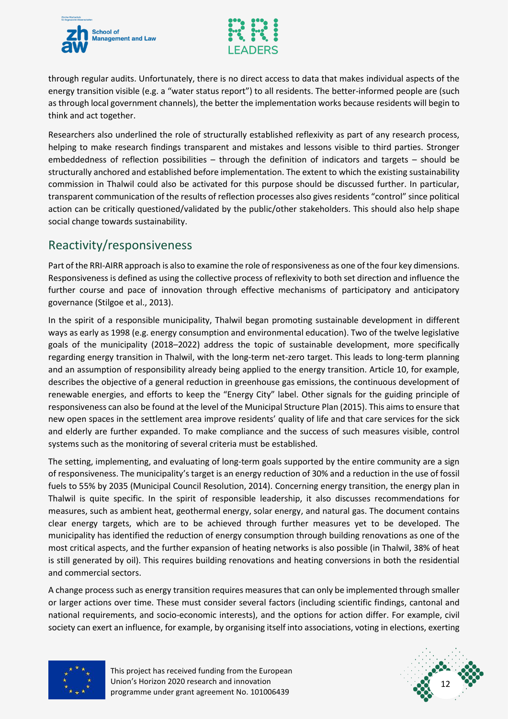



through regular audits. Unfortunately, there is no direct access to data that makes individual aspects of the energy transition visible (e.g. a "water status report") to all residents. The better-informed people are (such as through local government channels), the better the implementation works because residents will begin to think and act together.

Researchers also underlined the role of structurally established reflexivity as part of any research process, helping to make research findings transparent and mistakes and lessons visible to third parties. Stronger embeddedness of reflection possibilities – through the definition of indicators and targets – should be structurally anchored and established before implementation. The extent to which the existing sustainability commission in Thalwil could also be activated for this purpose should be discussed further. In particular, transparent communication of the results of reflection processes also gives residents "control" since political action can be critically questioned/validated by the public/other stakeholders. This should also help shape social change towards sustainability.

#### <span id="page-12-0"></span>Reactivity/responsiveness

Part of the RRI-AIRR approach is also to examine the role of responsiveness as one of the four key dimensions. Responsiveness is defined as using the collective process of reflexivity to both set direction and influence the further course and pace of innovation through effective mechanisms of participatory and anticipatory governance (Stilgoe et al., 2013).

In the spirit of a responsible municipality, Thalwil began promoting sustainable development in different ways as early as 1998 (e.g. energy consumption and environmental education). Two of the twelve legislative goals of the municipality (2018–2022) address the topic of sustainable development, more specifically regarding energy transition in Thalwil, with the long-term net-zero target. This leads to long-term planning and an assumption of responsibility already being applied to the energy transition. Article 10, for example, describes the objective of a general reduction in greenhouse gas emissions, the continuous development of renewable energies, and efforts to keep the "Energy City" label. Other signals for the guiding principle of responsiveness can also be found at the level of the Municipal Structure Plan (2015). This aims to ensure that new open spaces in the settlement area improve residents' quality of life and that care services for the sick and elderly are further expanded. To make compliance and the success of such measures visible, control systems such as the monitoring of several criteria must be established.

The setting, implementing, and evaluating of long-term goals supported by the entire community are a sign of responsiveness. The municipality's target is an energy reduction of 30% and a reduction in the use of fossil fuels to 55% by 2035 (Municipal Council Resolution, 2014). Concerning energy transition, the energy plan in Thalwil is quite specific. In the spirit of responsible leadership, it also discusses recommendations for measures, such as ambient heat, geothermal energy, solar energy, and natural gas. The document contains clear energy targets, which are to be achieved through further measures yet to be developed. The municipality has identified the reduction of energy consumption through building renovations as one of the most critical aspects, and the further expansion of heating networks is also possible (in Thalwil, 38% of heat is still generated by oil). This requires building renovations and heating conversions in both the residential and commercial sectors.

A change process such as energy transition requires measures that can only be implemented through smaller or larger actions over time. These must consider several factors (including scientific findings, cantonal and national requirements, and socio-economic interests), and the options for action differ. For example, civil society can exert an influence, for example, by organising itself into associations, voting in elections, exerting



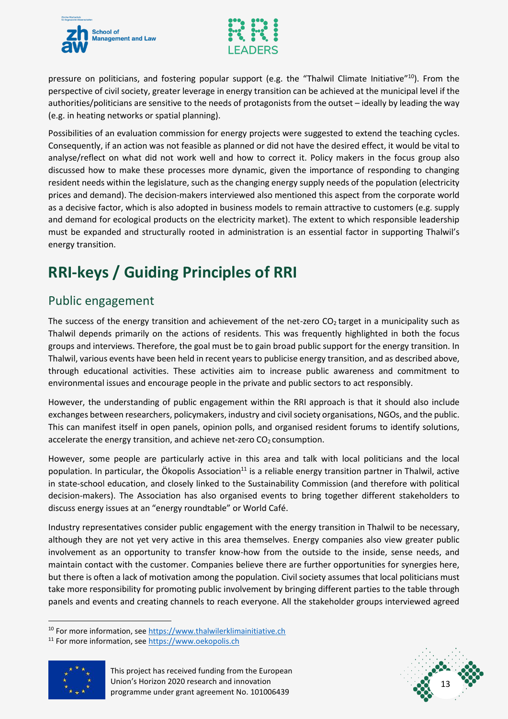



pressure on politicians, and fostering popular support (e.g. the "Thalwil Climate Initiative"<sup>10</sup>). From the perspective of civil society, greater leverage in energy transition can be achieved at the municipal level if the authorities/politicians are sensitive to the needs of protagonists from the outset – ideally by leading the way (e.g. in heating networks or spatial planning).

Possibilities of an evaluation commission for energy projects were suggested to extend the teaching cycles. Consequently, if an action was not feasible as planned or did not have the desired effect, it would be vital to analyse/reflect on what did not work well and how to correct it. Policy makers in the focus group also discussed how to make these processes more dynamic, given the importance of responding to changing resident needs within the legislature, such as the changing energy supply needs of the population (electricity prices and demand). The decision-makers interviewed also mentioned this aspect from the corporate world as a decisive factor, which is also adopted in business models to remain attractive to customers (e.g. supply and demand for ecological products on the electricity market). The extent to which responsible leadership must be expanded and structurally rooted in administration is an essential factor in supporting Thalwil's energy transition.

# <span id="page-13-0"></span>**RRI-keys / Guiding Principles of RRI**

#### <span id="page-13-1"></span>Public engagement

The success of the energy transition and achievement of the net-zero  $CO<sub>2</sub>$  target in a municipality such as Thalwil depends primarily on the actions of residents. This was frequently highlighted in both the focus groups and interviews. Therefore, the goal must be to gain broad public support for the energy transition. In Thalwil, various events have been held in recent years to publicise energy transition, and as described above, through educational activities. These activities aim to increase public awareness and commitment to environmental issues and encourage people in the private and public sectors to act responsibly.

However, the understanding of public engagement within the RRI approach is that it should also include exchanges between researchers, policymakers, industry and civil society organisations, NGOs, and the public. This can manifest itself in open panels, opinion polls, and organised resident forums to identify solutions, accelerate the energy transition, and achieve net-zero  $CO<sub>2</sub>$  consumption.

However, some people are particularly active in this area and talk with local politicians and the local population. In particular, the Ökopolis Association $11$  is a reliable energy transition partner in Thalwil, active in state-school education, and closely linked to the Sustainability Commission (and therefore with political decision-makers). The Association has also organised events to bring together different stakeholders to discuss energy issues at an "energy roundtable" or World Café.

Industry representatives consider public engagement with the energy transition in Thalwil to be necessary, although they are not yet very active in this area themselves. Energy companies also view greater public involvement as an opportunity to transfer know-how from the outside to the inside, sense needs, and maintain contact with the customer. Companies believe there are further opportunities for synergies here, but there is often a lack of motivation among the population. Civil society assumes that local politicians must take more responsibility for promoting public involvement by bringing different parties to the table through panels and events and creating channels to reach everyone. All the stakeholder groups interviewed agreed

<sup>11</sup> For more information, see [https://www.oekopolis.ch](https://www.oekopolis.ch/)





<sup>&</sup>lt;sup>10</sup> For more information, see [https://www.thalwilerklimainitiative.ch](https://www.thalwilerklimainitiative.ch/)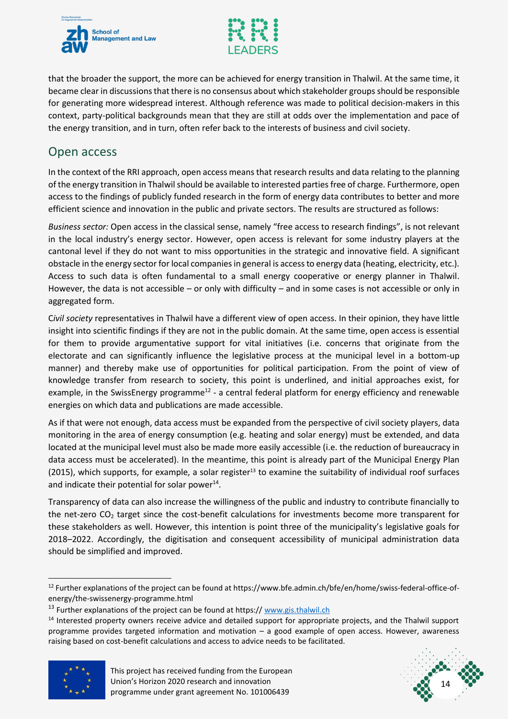



that the broader the support, the more can be achieved for energy transition in Thalwil. At the same time, it became clear in discussions that there is no consensus about which stakeholder groups should be responsible for generating more widespread interest. Although reference was made to political decision-makers in this context, party-political backgrounds mean that they are still at odds over the implementation and pace of the energy transition, and in turn, often refer back to the interests of business and civil society.

#### <span id="page-14-0"></span>Open access

In the context of the RRI approach, open access means that research results and data relating to the planning of the energy transition in Thalwil should be available to interested partiesfree of charge. Furthermore, open access to the findings of publicly funded research in the form of energy data contributes to better and more efficient science and innovation in the public and private sectors. The results are structured as follows:

*Business sector:* Open access in the classical sense, namely "free access to research findings", is not relevant in the local industry's energy sector. However, open access is relevant for some industry players at the cantonal level if they do not want to miss opportunities in the strategic and innovative field. A significant obstacle in the energy sector for local companies in general is access to energy data (heating, electricity, etc.). Access to such data is often fundamental to a small energy cooperative or energy planner in Thalwil. However, the data is not accessible – or only with difficulty – and in some cases is not accessible or only in aggregated form.

C*ivil society* representatives in Thalwil have a different view of open access. In their opinion, they have little insight into scientific findings if they are not in the public domain. At the same time, open access is essential for them to provide argumentative support for vital initiatives (i.e. concerns that originate from the electorate and can significantly influence the legislative process at the municipal level in a bottom-up manner) and thereby make use of opportunities for political participation. From the point of view of knowledge transfer from research to society, this point is underlined, and initial approaches exist, for example, in the SwissEnergy programme<sup>12</sup> - a central federal platform for energy efficiency and renewable energies on which data and publications are made accessible.

As if that were not enough, data access must be expanded from the perspective of civil society players, data monitoring in the area of energy consumption (e.g. heating and solar energy) must be extended, and data located at the municipal level must also be made more easily accessible (i.e. the reduction of bureaucracy in data access must be accelerated). In the meantime, this point is already part of the Municipal Energy Plan  $(2015)$ , which supports, for example, a solar register<sup>13</sup> to examine the suitability of individual roof surfaces and indicate their potential for solar power<sup>14</sup>.

Transparency of data can also increase the willingness of the public and industry to contribute financially to the net-zero  $CO<sub>2</sub>$  target since the cost-benefit calculations for investments become more transparent for these stakeholders as well. However, this intention is point three of the municipality's legislative goals for 2018–2022. Accordingly, the digitisation and consequent accessibility of municipal administration data should be simplified and improved.

<sup>&</sup>lt;sup>14</sup> Interested property owners receive advice and detailed support for appropriate projects, and the Thalwil support programme provides targeted information and motivation – a good example of open access. However, awareness raising based on cost-benefit calculations and access to advice needs to be facilitated.





<sup>&</sup>lt;sup>12</sup> Further explanations of the project can be found at https://www.bfe.admin.ch/bfe/en/home/swiss-federal-office-ofenergy/the-swissenergy-programme.html

 $13$  Further explanations of the project can be found at https:// [www.gis.thalwil.ch](http://www.gis.thalwil.ch/)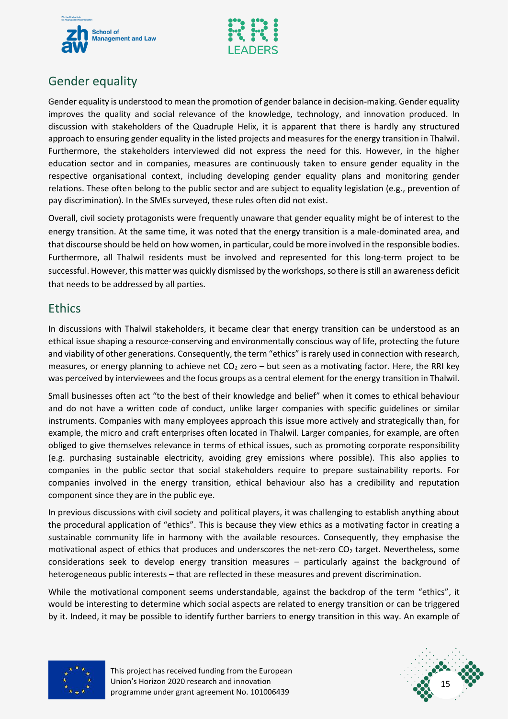



### <span id="page-15-0"></span>Gender equality

Gender equality is understood to mean the promotion of gender balance in decision-making. Gender equality improves the quality and social relevance of the knowledge, technology, and innovation produced. In discussion with stakeholders of the Quadruple Helix, it is apparent that there is hardly any structured approach to ensuring gender equality in the listed projects and measures for the energy transition in Thalwil. Furthermore, the stakeholders interviewed did not express the need for this. However, in the higher education sector and in companies, measures are continuously taken to ensure gender equality in the respective organisational context, including developing gender equality plans and monitoring gender relations. These often belong to the public sector and are subject to equality legislation (e.g., prevention of pay discrimination). In the SMEs surveyed, these rules often did not exist.

Overall, civil society protagonists were frequently unaware that gender equality might be of interest to the energy transition. At the same time, it was noted that the energy transition is a male-dominated area, and that discourse should be held on how women, in particular, could be more involved in the responsible bodies. Furthermore, all Thalwil residents must be involved and represented for this long-term project to be successful. However, this matter was quickly dismissed by the workshops, so there is still an awareness deficit that needs to be addressed by all parties.

#### <span id="page-15-1"></span>Ethics

In discussions with Thalwil stakeholders, it became clear that energy transition can be understood as an ethical issue shaping a resource-conserving and environmentally conscious way of life, protecting the future and viability of other generations. Consequently, the term "ethics" israrely used in connection with research, measures, or energy planning to achieve net  $CO<sub>2</sub>$  zero – but seen as a motivating factor. Here, the RRI key was perceived by interviewees and the focus groups as a central element for the energy transition in Thalwil.

Small businesses often act "to the best of their knowledge and belief" when it comes to ethical behaviour and do not have a written code of conduct, unlike larger companies with specific guidelines or similar instruments. Companies with many employees approach this issue more actively and strategically than, for example, the micro and craft enterprises often located in Thalwil. Larger companies, for example, are often obliged to give themselves relevance in terms of ethical issues, such as promoting corporate responsibility (e.g. purchasing sustainable electricity, avoiding grey emissions where possible). This also applies to companies in the public sector that social stakeholders require to prepare sustainability reports. For companies involved in the energy transition, ethical behaviour also has a credibility and reputation component since they are in the public eye.

In previous discussions with civil society and political players, it was challenging to establish anything about the procedural application of "ethics". This is because they view ethics as a motivating factor in creating a sustainable community life in harmony with the available resources. Consequently, they emphasise the motivational aspect of ethics that produces and underscores the net-zero  $CO<sub>2</sub>$  target. Nevertheless, some considerations seek to develop energy transition measures – particularly against the background of heterogeneous public interests – that are reflected in these measures and prevent discrimination.

While the motivational component seems understandable, against the backdrop of the term "ethics", it would be interesting to determine which social aspects are related to energy transition or can be triggered by it. Indeed, it may be possible to identify further barriers to energy transition in this way. An example of



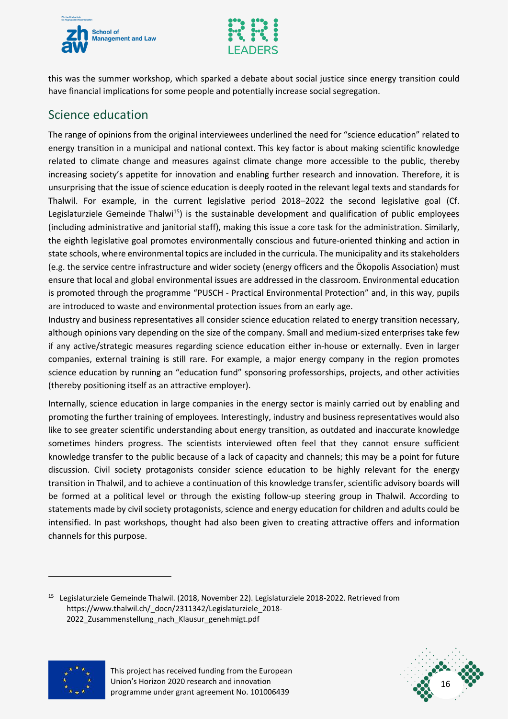



this was the summer workshop, which sparked a debate about social justice since energy transition could have financial implications for some people and potentially increase social segregation.

### <span id="page-16-0"></span>Science education

The range of opinions from the original interviewees underlined the need for "science education" related to energy transition in a municipal and national context. This key factor is about making scientific knowledge related to climate change and measures against climate change more accessible to the public, thereby increasing society's appetite for innovation and enabling further research and innovation. Therefore, it is unsurprising that the issue of science education is deeply rooted in the relevant legal texts and standards for Thalwil. For example, in the current legislative period 2018–2022 the second legislative goal (Cf. Legislaturziele Gemeinde Thalwi<sup>15</sup>) is the sustainable development and qualification of public employees (including administrative and janitorial staff), making this issue a core task for the administration. Similarly, the eighth legislative goal promotes environmentally conscious and future-oriented thinking and action in state schools, where environmental topics are included in the curricula. The municipality and its stakeholders (e.g. the service centre infrastructure and wider society (energy officers and the Ökopolis Association) must ensure that local and global environmental issues are addressed in the classroom. Environmental education is promoted through the programme "PUSCH - Practical Environmental Protection" and, in this way, pupils are introduced to waste and environmental protection issues from an early age.

Industry and business representatives all consider science education related to energy transition necessary, although opinions vary depending on the size of the company. Small and medium-sized enterprises take few if any active/strategic measures regarding science education either in-house or externally. Even in larger companies, external training is still rare. For example, a major energy company in the region promotes science education by running an "education fund" sponsoring professorships, projects, and other activities (thereby positioning itself as an attractive employer).

Internally, science education in large companies in the energy sector is mainly carried out by enabling and promoting the further training of employees. Interestingly, industry and business representatives would also like to see greater scientific understanding about energy transition, as outdated and inaccurate knowledge sometimes hinders progress. The scientists interviewed often feel that they cannot ensure sufficient knowledge transfer to the public because of a lack of capacity and channels; this may be a point for future discussion. Civil society protagonists consider science education to be highly relevant for the energy transition in Thalwil, and to achieve a continuation of this knowledge transfer, scientific advisory boards will be formed at a political level or through the existing follow-up steering group in Thalwil. According to statements made by civil society protagonists, science and energy education for children and adults could be intensified. In past workshops, thought had also been given to creating attractive offers and information channels for this purpose.

<sup>&</sup>lt;sup>15</sup> Legislaturziele Gemeinde Thalwil. (2018, November 22). Legislaturziele 2018-2022. Retrieved from https://www.thalwil.ch/\_docn/2311342/Legislaturziele\_2018-2022\_Zusammenstellung\_nach\_Klausur\_genehmigt.pdf





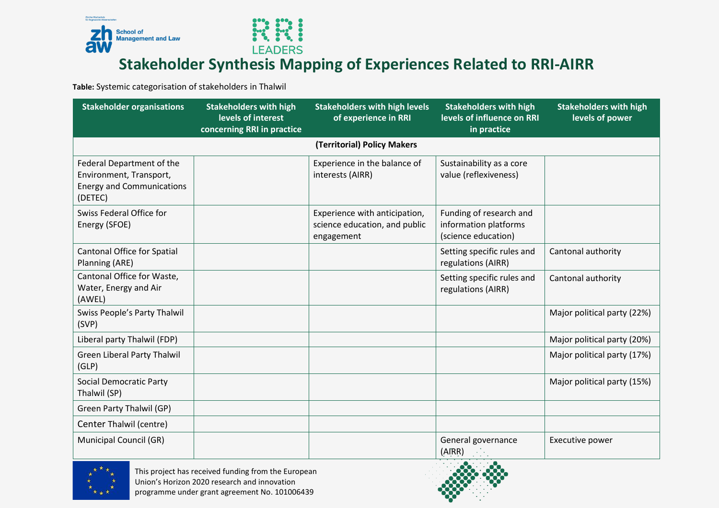



### **Stakeholder Synthesis Mapping of Experiences Related to RRI-AIRR**

**Table:** Systemic categorisation of stakeholders in Thalwil

<span id="page-17-0"></span>

| <b>Stakeholder organisations</b>                                                                    | <b>Stakeholders with high</b><br>levels of interest<br>concerning RRI in practice | <b>Stakeholders with high levels</b><br>of experience in RRI                 | <b>Stakeholders with high</b><br>levels of influence on RRI<br>in practice | <b>Stakeholders with high</b><br>levels of power |
|-----------------------------------------------------------------------------------------------------|-----------------------------------------------------------------------------------|------------------------------------------------------------------------------|----------------------------------------------------------------------------|--------------------------------------------------|
|                                                                                                     |                                                                                   | (Territorial) Policy Makers                                                  |                                                                            |                                                  |
| Federal Department of the<br>Environment, Transport,<br><b>Energy and Communications</b><br>(DETEC) |                                                                                   | Experience in the balance of<br>interests (AIRR)                             | Sustainability as a core<br>value (reflexiveness)                          |                                                  |
| Swiss Federal Office for<br>Energy (SFOE)                                                           |                                                                                   | Experience with anticipation,<br>science education, and public<br>engagement | Funding of research and<br>information platforms<br>(science education)    |                                                  |
| <b>Cantonal Office for Spatial</b><br>Planning (ARE)                                                |                                                                                   |                                                                              | Setting specific rules and<br>regulations (AIRR)                           | Cantonal authority                               |
| Cantonal Office for Waste,<br>Water, Energy and Air<br>(AWEL)                                       |                                                                                   |                                                                              | Setting specific rules and<br>regulations (AIRR)                           | Cantonal authority                               |
| Swiss People's Party Thalwil<br>(SVP)                                                               |                                                                                   |                                                                              |                                                                            | Major political party (22%)                      |
| Liberal party Thalwil (FDP)                                                                         |                                                                                   |                                                                              |                                                                            | Major political party (20%)                      |
| <b>Green Liberal Party Thalwil</b><br>(GLP)                                                         |                                                                                   |                                                                              |                                                                            | Major political party (17%)                      |
| <b>Social Democratic Party</b><br>Thalwil (SP)                                                      |                                                                                   |                                                                              |                                                                            | Major political party (15%)                      |
| Green Party Thalwil (GP)                                                                            |                                                                                   |                                                                              |                                                                            |                                                  |
| Center Thalwil (centre)                                                                             |                                                                                   |                                                                              |                                                                            |                                                  |
| <b>Municipal Council (GR)</b>                                                                       |                                                                                   |                                                                              | General governance<br>(AIRR)                                               | Executive power                                  |



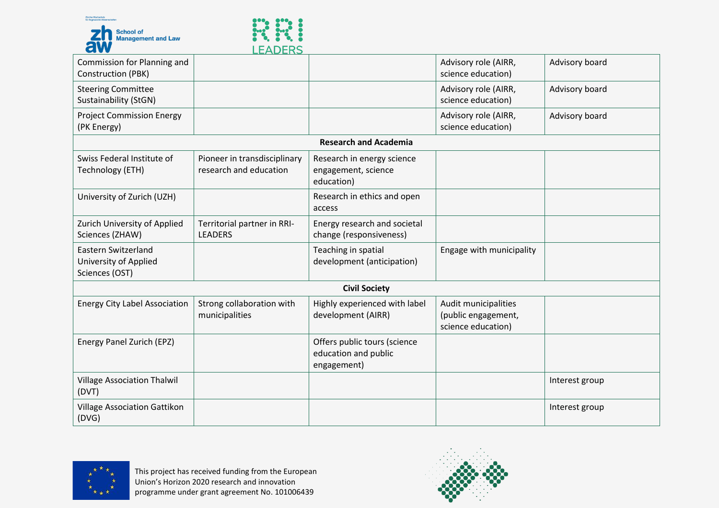



| LLADLNJ                                                |                                                                     |                                                                   |                |
|--------------------------------------------------------|---------------------------------------------------------------------|-------------------------------------------------------------------|----------------|
|                                                        |                                                                     | Advisory role (AIRR,<br>science education)                        | Advisory board |
|                                                        |                                                                     | Advisory role (AIRR,<br>science education)                        | Advisory board |
|                                                        |                                                                     | Advisory role (AIRR,<br>science education)                        | Advisory board |
|                                                        | <b>Research and Academia</b>                                        |                                                                   |                |
| Pioneer in transdisciplinary<br>research and education | Research in energy science<br>engagement, science<br>education)     |                                                                   |                |
|                                                        | Research in ethics and open<br>access                               |                                                                   |                |
| Territorial partner in RRI-<br><b>LEADERS</b>          | Energy research and societal<br>change (responsiveness)             |                                                                   |                |
|                                                        | Teaching in spatial<br>development (anticipation)                   | Engage with municipality                                          |                |
|                                                        | <b>Civil Society</b>                                                |                                                                   |                |
| Strong collaboration with<br>municipalities            | Highly experienced with label<br>development (AIRR)                 | Audit municipalities<br>(public engagement,<br>science education) |                |
|                                                        | Offers public tours (science<br>education and public<br>engagement) |                                                                   |                |
|                                                        |                                                                     |                                                                   | Interest group |
|                                                        |                                                                     |                                                                   | Interest group |
|                                                        |                                                                     |                                                                   |                |



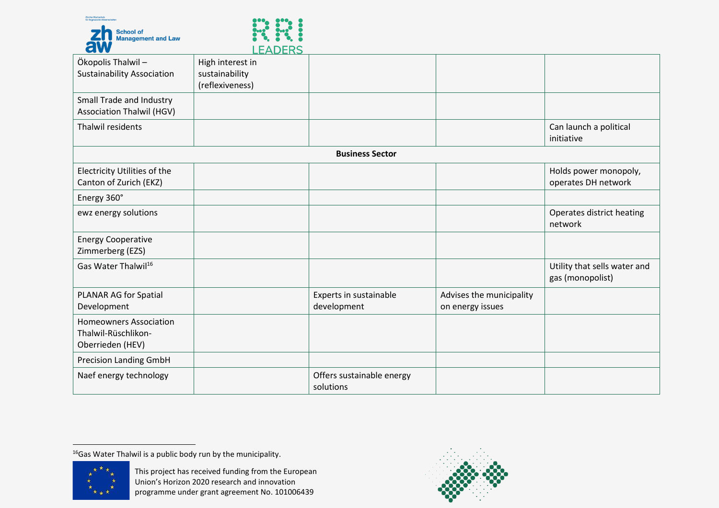



|                                   | ᄔᄂᄉᅛᄔ៶           |                           |                          |                              |
|-----------------------------------|------------------|---------------------------|--------------------------|------------------------------|
| Ökopolis Thalwil-                 | High interest in |                           |                          |                              |
| <b>Sustainability Association</b> | sustainability   |                           |                          |                              |
|                                   | (reflexiveness)  |                           |                          |                              |
| Small Trade and Industry          |                  |                           |                          |                              |
| <b>Association Thalwil (HGV)</b>  |                  |                           |                          |                              |
| Thalwil residents                 |                  |                           |                          | Can launch a political       |
|                                   |                  |                           |                          | initiative                   |
|                                   |                  | <b>Business Sector</b>    |                          |                              |
| Electricity Utilities of the      |                  |                           |                          | Holds power monopoly,        |
| Canton of Zurich (EKZ)            |                  |                           |                          | operates DH network          |
| Energy 360°                       |                  |                           |                          |                              |
| ewz energy solutions              |                  |                           |                          | Operates district heating    |
|                                   |                  |                           |                          | network                      |
| <b>Energy Cooperative</b>         |                  |                           |                          |                              |
| Zimmerberg (EZS)                  |                  |                           |                          |                              |
| Gas Water Thalwil <sup>16</sup>   |                  |                           |                          | Utility that sells water and |
|                                   |                  |                           |                          | gas (monopolist)             |
| PLANAR AG for Spatial             |                  | Experts in sustainable    | Advises the municipality |                              |
| Development                       |                  | development               | on energy issues         |                              |
| <b>Homeowners Association</b>     |                  |                           |                          |                              |
| Thalwil-Rüschlikon-               |                  |                           |                          |                              |
| Oberrieden (HEV)                  |                  |                           |                          |                              |
| <b>Precision Landing GmbH</b>     |                  |                           |                          |                              |
| Naef energy technology            |                  | Offers sustainable energy |                          |                              |
|                                   |                  | solutions                 |                          |                              |

 $<sup>16</sup>$ Gas Water Thalwil is a public body run by the municipality.</sup>



 $\ddot{ }$ 

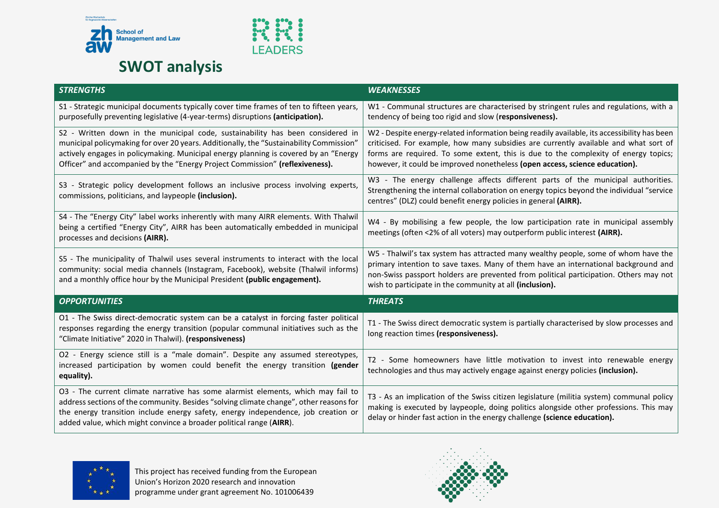



# **SWOT analysis**

<span id="page-20-0"></span>

| <b>STRENGTHS</b>                                                                                                                                                                                                                                                                                                                                  | <b>WEAKNESSES</b>                                                                                                                                                                                                                                                                                                                                         |
|---------------------------------------------------------------------------------------------------------------------------------------------------------------------------------------------------------------------------------------------------------------------------------------------------------------------------------------------------|-----------------------------------------------------------------------------------------------------------------------------------------------------------------------------------------------------------------------------------------------------------------------------------------------------------------------------------------------------------|
| S1 - Strategic municipal documents typically cover time frames of ten to fifteen years,<br>purposefully preventing legislative (4-year-terms) disruptions (anticipation).                                                                                                                                                                         | W1 - Communal structures are characterised by stringent rules and regulations, with a<br>tendency of being too rigid and slow (responsiveness).                                                                                                                                                                                                           |
| S2 - Written down in the municipal code, sustainability has been considered in<br>municipal policymaking for over 20 years. Additionally, the "Sustainability Commission"<br>actively engages in policymaking. Municipal energy planning is covered by an "Energy<br>Officer" and accompanied by the "Energy Project Commission" (reflexiveness). | W2 - Despite energy-related information being readily available, its accessibility has been<br>criticised. For example, how many subsidies are currently available and what sort of<br>forms are required. To some extent, this is due to the complexity of energy topics;<br>however, it could be improved nonetheless (open access, science education). |
| S3 - Strategic policy development follows an inclusive process involving experts,<br>commissions, politicians, and laypeople (inclusion).                                                                                                                                                                                                         | W3 - The energy challenge affects different parts of the municipal authorities.<br>Strengthening the internal collaboration on energy topics beyond the individual "service<br>centres" (DLZ) could benefit energy policies in general (AIRR).                                                                                                            |
| S4 - The "Energy City" label works inherently with many AIRR elements. With Thalwil<br>being a certified "Energy City", AIRR has been automatically embedded in municipal<br>processes and decisions (AIRR).                                                                                                                                      | W4 - By mobilising a few people, the low participation rate in municipal assembly<br>meetings (often <2% of all voters) may outperform public interest (AIRR).                                                                                                                                                                                            |
| S5 - The municipality of Thalwil uses several instruments to interact with the local<br>community: social media channels (Instagram, Facebook), website (Thalwil informs)<br>and a monthly office hour by the Municipal President (public engagement).                                                                                            | W5 - Thalwil's tax system has attracted many wealthy people, some of whom have the<br>primary intention to save taxes. Many of them have an international background and<br>non-Swiss passport holders are prevented from political participation. Others may not<br>wish to participate in the community at all (inclusion).                             |
| <b>OPPORTUNITIES</b>                                                                                                                                                                                                                                                                                                                              | <b>THREATS</b>                                                                                                                                                                                                                                                                                                                                            |
| O1 - The Swiss direct-democratic system can be a catalyst in forcing faster political<br>responses regarding the energy transition (popular communal initiatives such as the<br>"Climate Initiative" 2020 in Thalwil). (responsiveness)                                                                                                           | T1 - The Swiss direct democratic system is partially characterised by slow processes and<br>long reaction times (responsiveness).                                                                                                                                                                                                                         |
| O2 - Energy science still is a "male domain". Despite any assumed stereotypes,<br>increased participation by women could benefit the energy transition (gender<br>equality).                                                                                                                                                                      | T2 - Some homeowners have little motivation to invest into renewable energy<br>technologies and thus may actively engage against energy policies (inclusion).                                                                                                                                                                                             |
| O3 - The current climate narrative has some alarmist elements, which may fail to<br>address sections of the community. Besides "solving climate change", other reasons for<br>the energy transition include energy safety, energy independence, job creation or<br>added value, which might convince a broader political range (AIRR).            | T3 - As an implication of the Swiss citizen legislature (militia system) communal policy<br>making is executed by laypeople, doing politics alongside other professions. This may<br>delay or hinder fast action in the energy challenge (science education).                                                                                             |



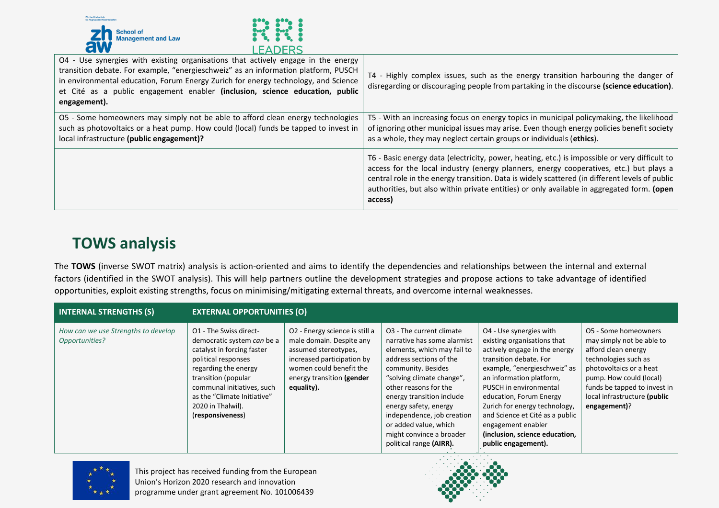



| O4 - Use synergies with existing organisations that actively engage in the energy<br>transition debate. For example, "energieschweiz" as an information platform, PUSCH<br>in environmental education, Forum Energy Zurich for energy technology, and Science<br>et Cité as a public engagement enabler (inclusion, science education, public<br>engagement). | T4 - Highly complex issues, such as the energy transition harbouring the danger of<br>disregarding or discouraging people from partaking in the discourse (science education).                                                                                                                                                                                                                     |
|---------------------------------------------------------------------------------------------------------------------------------------------------------------------------------------------------------------------------------------------------------------------------------------------------------------------------------------------------------------|----------------------------------------------------------------------------------------------------------------------------------------------------------------------------------------------------------------------------------------------------------------------------------------------------------------------------------------------------------------------------------------------------|
| O5 - Some homeowners may simply not be able to afford clean energy technologies<br>such as photovoltaics or a heat pump. How could (local) funds be tapped to invest in<br>local infrastructure (public engagement)?                                                                                                                                          | T5 - With an increasing focus on energy topics in municipal policymaking, the likelihood<br>of ignoring other municipal issues may arise. Even though energy policies benefit society<br>as a whole, they may neglect certain groups or individuals (ethics).                                                                                                                                      |
|                                                                                                                                                                                                                                                                                                                                                               | T6 - Basic energy data (electricity, power, heating, etc.) is impossible or very difficult to<br>access for the local industry (energy planners, energy cooperatives, etc.) but plays a<br>central role in the energy transition. Data is widely scattered (in different levels of public<br>authorities, but also within private entities) or only available in aggregated form. (open<br>access) |

### **TOWS analysis**

The **TOWS** (inverse SWOT matrix) analysis is action-oriented and aims to identify the dependencies and relationships between the internal and external factors (identified in the SWOT analysis). This will help partners outline the development strategies and propose actions to take advantage of identified opportunities, exploit existing strengths, focus on minimising/mitigating external threats, and overcome internal weaknesses.

| <b>INTERNAL STRENGTHS (S)</b>                         | <b>EXTERNAL OPPORTUNITIES (O)</b>                                                                                                                                                                                                                              |                                                                                                                                                                                        |                                                                                                                                                                                                                                                                                                                                                                               |                                                                                                                                                                                                                                                                                                                                                                                       |                                                                                                                                                                                                                                        |  |
|-------------------------------------------------------|----------------------------------------------------------------------------------------------------------------------------------------------------------------------------------------------------------------------------------------------------------------|----------------------------------------------------------------------------------------------------------------------------------------------------------------------------------------|-------------------------------------------------------------------------------------------------------------------------------------------------------------------------------------------------------------------------------------------------------------------------------------------------------------------------------------------------------------------------------|---------------------------------------------------------------------------------------------------------------------------------------------------------------------------------------------------------------------------------------------------------------------------------------------------------------------------------------------------------------------------------------|----------------------------------------------------------------------------------------------------------------------------------------------------------------------------------------------------------------------------------------|--|
| How can we use Strengths to develop<br>Opportunities? | O1 - The Swiss direct-<br>democratic system can be a<br>catalyst in forcing faster<br>political responses<br>regarding the energy<br>transition (popular<br>communal initiatives, such<br>as the "Climate Initiative"<br>2020 in Thalwil).<br>(responsiveness) | O2 - Energy science is still a<br>male domain. Despite any<br>assumed stereotypes,<br>increased participation by<br>women could benefit the<br>energy transition (gender<br>equality). | O <sub>3</sub> - The current climate<br>narrative has some alarmist<br>elements, which may fail to<br>address sections of the<br>community. Besides<br>"solving climate change",<br>other reasons for the<br>energy transition include<br>energy safety, energy<br>independence, job creation<br>or added value, which<br>might convince a broader<br>political range (AIRR). | O4 - Use synergies with<br>existing organisations that<br>actively engage in the energy<br>transition debate. For<br>example, "energieschweiz" as<br>an information platform,<br>PUSCH in environmental<br>education, Forum Energy<br>Zurich for energy technology,<br>and Science et Cité as a public<br>engagement enabler<br>(inclusion, science education,<br>public engagement). | O5 - Some homeowners<br>may simply not be able to<br>afford clean energy<br>technologies such as<br>photovoltaics or a heat<br>pump. How could (local)<br>funds be tapped to invest in<br>local infrastructure (public<br>engagement)? |  |

<span id="page-21-0"></span>

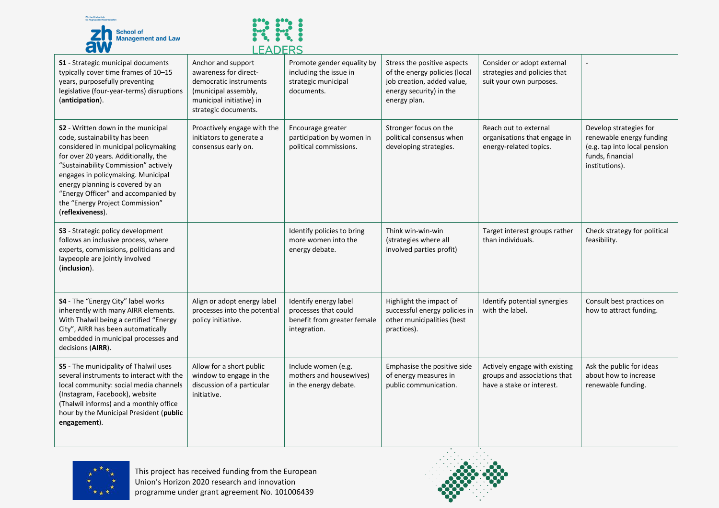



|                                                                                                                                                                                                                                                                                                                                                                     | -------                                                                                                                                           |                                                                                              |                                                                                                                                       |                                                                                            |                                                                                                                          |
|---------------------------------------------------------------------------------------------------------------------------------------------------------------------------------------------------------------------------------------------------------------------------------------------------------------------------------------------------------------------|---------------------------------------------------------------------------------------------------------------------------------------------------|----------------------------------------------------------------------------------------------|---------------------------------------------------------------------------------------------------------------------------------------|--------------------------------------------------------------------------------------------|--------------------------------------------------------------------------------------------------------------------------|
| <b>S1</b> - Strategic municipal documents<br>typically cover time frames of 10-15<br>years, purposefully preventing<br>legislative (four-year-terms) disruptions<br>(anticipation).                                                                                                                                                                                 | Anchor and support<br>awareness for direct-<br>democratic instruments<br>(municipal assembly,<br>municipal initiative) in<br>strategic documents. | Promote gender equality by<br>including the issue in<br>strategic municipal<br>documents.    | Stress the positive aspects<br>of the energy policies (local<br>job creation, added value,<br>energy security) in the<br>energy plan. | Consider or adopt external<br>strategies and policies that<br>suit your own purposes.      |                                                                                                                          |
| S2 - Written down in the municipal<br>code, sustainability has been<br>considered in municipal policymaking<br>for over 20 years. Additionally, the<br>"Sustainability Commission" actively<br>engages in policymaking. Municipal<br>energy planning is covered by an<br>"Energy Officer" and accompanied by<br>the "Energy Project Commission"<br>(reflexiveness). | Proactively engage with the<br>initiators to generate a<br>consensus early on.                                                                    | Encourage greater<br>participation by women in<br>political commissions.                     | Stronger focus on the<br>political consensus when<br>developing strategies.                                                           | Reach out to external<br>organisations that engage in<br>energy-related topics.            | Develop strategies for<br>renewable energy funding<br>(e.g. tap into local pension<br>funds, financial<br>institutions). |
| S3 - Strategic policy development<br>follows an inclusive process, where<br>experts, commissions, politicians and<br>laypeople are jointly involved<br>(inclusion).                                                                                                                                                                                                 |                                                                                                                                                   | Identify policies to bring<br>more women into the<br>energy debate.                          | Think win-win-win<br>(strategies where all<br>involved parties profit)                                                                | Target interest groups rather<br>than individuals.                                         | Check strategy for political<br>feasibility.                                                                             |
| S4 - The "Energy City" label works<br>inherently with many AIRR elements.<br>With Thalwil being a certified "Energy<br>City", AIRR has been automatically<br>embedded in municipal processes and<br>decisions (AIRR).                                                                                                                                               | Align or adopt energy label<br>processes into the potential<br>policy initiative.                                                                 | Identify energy label<br>processes that could<br>benefit from greater female<br>integration. | Highlight the impact of<br>successful energy policies in<br>other municipalities (best<br>practices).                                 | Identify potential synergies<br>with the label.                                            | Consult best practices on<br>how to attract funding.                                                                     |
| S5 - The municipality of Thalwil uses<br>several instruments to interact with the<br>local community: social media channels<br>(Instagram, Facebook), website<br>(Thalwil informs) and a monthly office<br>hour by the Municipal President (public<br>engagement).                                                                                                  | Allow for a short public<br>window to engage in the<br>discussion of a particular<br>initiative.                                                  | Include women (e.g.<br>mothers and housewives)<br>in the energy debate.                      | Emphasise the positive side<br>of energy measures in<br>public communication.                                                         | Actively engage with existing<br>groups and associations that<br>have a stake or interest. | Ask the public for ideas<br>about how to increase<br>renewable funding.                                                  |



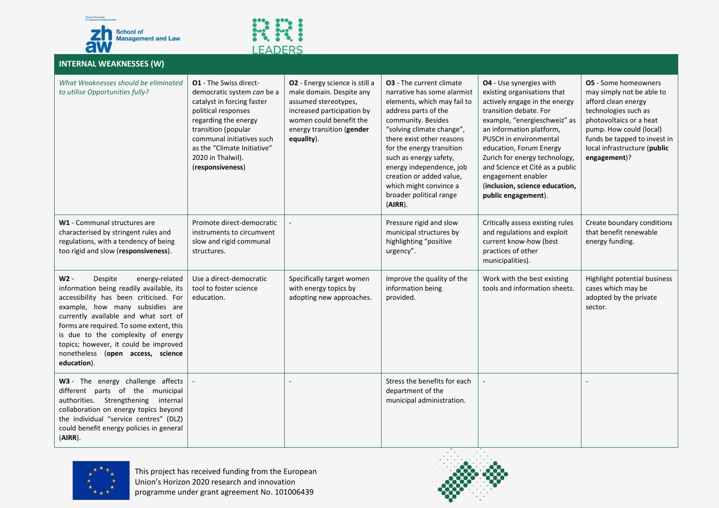



#### **INTERNAL WEAKNESSES (W)**

| What Weaknesses should be eliminated<br>to utilise Opportunities fully?                                                                                                                                                                                                                                                                                                           | <b>O1</b> - The Swiss direct-<br>democratic system can be a<br>catalyst in forcing faster<br>political responses<br>regarding the energy<br>transition (popular<br>communal initiatives such<br>as the "Climate Initiative"<br>2020 in Thalwil).<br>(responsiveness) | O2 - Energy science is still a<br>male domain. Despite any<br>assumed stereotypes,<br>increased participation by<br>women could benefit the<br>energy transition (gender<br>equality). | <b>03</b> - The current climate<br>narrative has some alarmist<br>elements, which may fail to<br>address parts of the<br>community. Besides<br>"solving climate change",<br>there exist other reasons<br>for the energy transition<br>such as energy safety,<br>energy independence, job<br>creation or added value,<br>which might convince a<br>broader political range<br>(AIRR). | <b>04</b> - Use synergies with<br>existing organisations that<br>actively engage in the energy<br>transition debate. For<br>example, "energieschweiz" as<br>an information platform,<br>PUSCH in environmental<br>education, Forum Energy<br>Zurich for energy technology,<br>and Science et Cité as a public<br>engagement enabler<br>(inclusion, science education,<br>public engagement). | <b>O5</b> - Some homeowners<br>may simply not be able to<br>afford clean energy<br>technologies such as<br>photovoltaics or a heat<br>pump. How could (local)<br>funds be tapped to invest in<br>local infrastructure (public<br>engagement)? |
|-----------------------------------------------------------------------------------------------------------------------------------------------------------------------------------------------------------------------------------------------------------------------------------------------------------------------------------------------------------------------------------|----------------------------------------------------------------------------------------------------------------------------------------------------------------------------------------------------------------------------------------------------------------------|----------------------------------------------------------------------------------------------------------------------------------------------------------------------------------------|--------------------------------------------------------------------------------------------------------------------------------------------------------------------------------------------------------------------------------------------------------------------------------------------------------------------------------------------------------------------------------------|----------------------------------------------------------------------------------------------------------------------------------------------------------------------------------------------------------------------------------------------------------------------------------------------------------------------------------------------------------------------------------------------|-----------------------------------------------------------------------------------------------------------------------------------------------------------------------------------------------------------------------------------------------|
| W1 - Communal structures are<br>characterised by stringent rules and<br>regulations, with a tendency of being<br>too rigid and slow (responsiveness).                                                                                                                                                                                                                             | Promote direct-democratic<br>instruments to circumvent<br>slow and rigid communal<br>structures.                                                                                                                                                                     |                                                                                                                                                                                        | Pressure rigid and slow<br>municipal structures by<br>highlighting "positive<br>urgency".                                                                                                                                                                                                                                                                                            | Critically assess existing rules<br>and regulations and exploit<br>current know-how (best<br>practices of other<br>municipalities).                                                                                                                                                                                                                                                          | Create boundary conditions<br>that benefit renewable<br>energy funding.                                                                                                                                                                       |
| W2 -<br>Despite<br>energy-related<br>information being readily available, its<br>accessibility has been criticised. For<br>example, how many subsidies are<br>currently available and what sort of<br>forms are required. To some extent, this<br>is due to the complexity of energy<br>topics; however, it could be improved<br>nonetheless (open access, science<br>education). | Use a direct-democratic<br>tool to foster science<br>education.                                                                                                                                                                                                      | Specifically target women<br>with energy topics by<br>adopting new approaches.                                                                                                         | Improve the quality of the<br>information being<br>provided.                                                                                                                                                                                                                                                                                                                         | Work with the best existing<br>tools and information sheets.                                                                                                                                                                                                                                                                                                                                 | Highlight potential business<br>cases which may be<br>adopted by the private<br>sector.                                                                                                                                                       |
| W3 - The energy challenge affects<br>different parts of the municipal<br>authorities. Strengthening<br>internal<br>collaboration on energy topics beyond<br>the individual "service centres" (DLZ)<br>could benefit energy policies in general<br>(AIRR).                                                                                                                         |                                                                                                                                                                                                                                                                      |                                                                                                                                                                                        | Stress the benefits for each<br>department of the<br>municipal administration.                                                                                                                                                                                                                                                                                                       |                                                                                                                                                                                                                                                                                                                                                                                              |                                                                                                                                                                                                                                               |



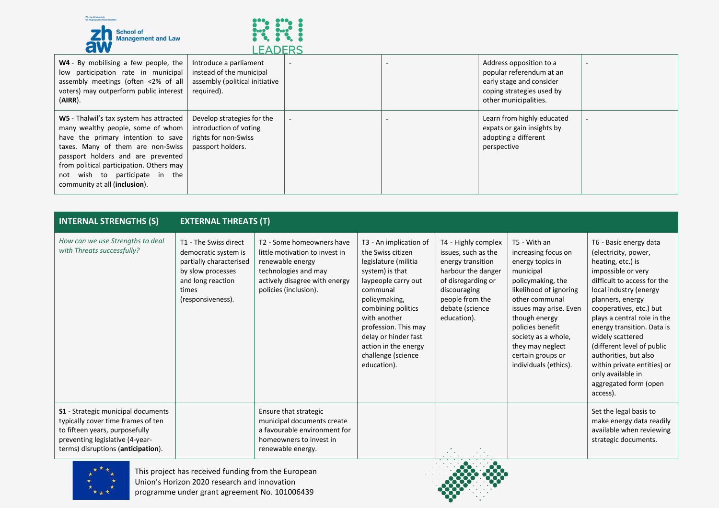



| W4 - By mobilising a few people, the<br>low participation rate in municipal<br>assembly meetings (often <2% of all<br>voters) may outperform public interest<br>$(AIRR)$ .                                                                                                                                   | Introduce a parliament<br>instead of the municipal<br>assembly (political initiative<br>required). |  | Address opposition to a<br>popular referendum at an<br>early stage and consider<br>coping strategies used by<br>other municipalities. |  |
|--------------------------------------------------------------------------------------------------------------------------------------------------------------------------------------------------------------------------------------------------------------------------------------------------------------|----------------------------------------------------------------------------------------------------|--|---------------------------------------------------------------------------------------------------------------------------------------|--|
| W5 - Thalwil's tax system has attracted<br>many wealthy people, some of whom<br>have the primary intention to save<br>taxes. Many of them are non-Swiss<br>passport holders and are prevented<br>from political participation. Others may<br>not wish to participate in the<br>community at all (inclusion). | Develop strategies for the<br>introduction of voting<br>rights for non-Swiss<br>passport holders.  |  | Learn from highly educated<br>expats or gain insights by<br>adopting a different<br>perspective                                       |  |

| <b>INTERNAL STRENGTHS (S)</b>                                                                                                                                                       | <b>EXTERNAL THREATS (T)</b>                                                                                                                      |                                                                                                                                                                   |                                                                                                                                                                                                                                                                                               |                                                                                                                                                                                  |                                                                                                                                                                                                                                                                                               |                                                                                                                                                                                                                                                                                                                                                                                                                                    |
|-------------------------------------------------------------------------------------------------------------------------------------------------------------------------------------|--------------------------------------------------------------------------------------------------------------------------------------------------|-------------------------------------------------------------------------------------------------------------------------------------------------------------------|-----------------------------------------------------------------------------------------------------------------------------------------------------------------------------------------------------------------------------------------------------------------------------------------------|----------------------------------------------------------------------------------------------------------------------------------------------------------------------------------|-----------------------------------------------------------------------------------------------------------------------------------------------------------------------------------------------------------------------------------------------------------------------------------------------|------------------------------------------------------------------------------------------------------------------------------------------------------------------------------------------------------------------------------------------------------------------------------------------------------------------------------------------------------------------------------------------------------------------------------------|
| How can we use Strengths to deal<br>with Threats successfully?                                                                                                                      | T1 - The Swiss direct<br>democratic system is<br>partially characterised<br>by slow processes<br>and long reaction<br>times<br>(responsiveness). | T2 - Some homeowners have<br>little motivation to invest in<br>renewable energy<br>technologies and may<br>actively disagree with energy<br>policies (inclusion). | T3 - An implication of<br>the Swiss citizen<br>legislature (militia<br>system) is that<br>laypeople carry out<br>communal<br>policymaking,<br>combining politics<br>with another<br>profession. This may<br>delay or hinder fast<br>action in the energy<br>challenge (science<br>education). | T4 - Highly complex<br>issues, such as the<br>energy transition<br>harbour the danger<br>of disregarding or<br>discouraging<br>people from the<br>debate (science<br>education). | T5 - With an<br>increasing focus on<br>energy topics in<br>municipal<br>policymaking, the<br>likelihood of ignoring<br>other communal<br>issues may arise. Even<br>though energy<br>policies benefit<br>society as a whole,<br>they may neglect<br>certain groups or<br>individuals (ethics). | T6 - Basic energy data<br>(electricity, power,<br>heating, etc.) is<br>impossible or very<br>difficult to access for the<br>local industry (energy<br>planners, energy<br>cooperatives, etc.) but<br>plays a central role in the<br>energy transition. Data is<br>widely scattered<br>(different level of public<br>authorities, but also<br>within private entities) or<br>only available in<br>aggregated form (open<br>access). |
| S1 - Strategic municipal documents<br>typically cover time frames of ten<br>to fifteen years, purposefully<br>preventing legislative (4-year-<br>terms) disruptions (anticipation). |                                                                                                                                                  | Ensure that strategic<br>municipal documents create<br>a favourable environment for<br>homeowners to invest in<br>renewable energy.                               |                                                                                                                                                                                                                                                                                               | $\mathbf{r} = \mathbf{r}$<br>$\cdots$                                                                                                                                            |                                                                                                                                                                                                                                                                                               | Set the legal basis to<br>make energy data readily<br>available when reviewing<br>strategic documents.                                                                                                                                                                                                                                                                                                                             |



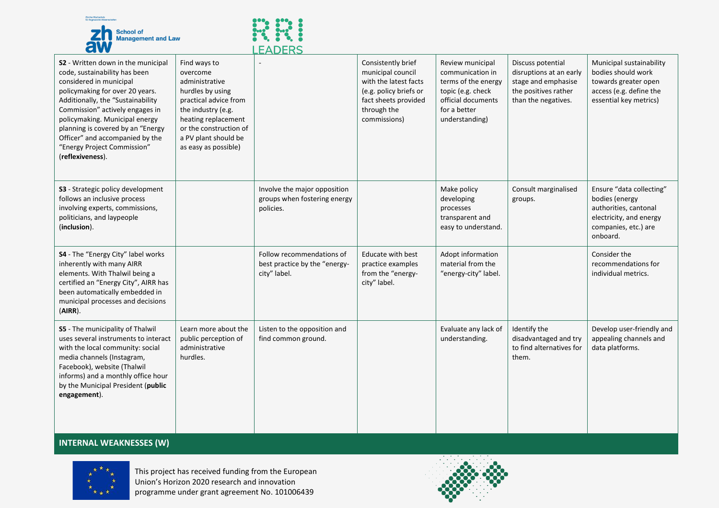



|                                                                                                                                                                                                                                                                                                                                                                        |                                                                                                                                                                                                                | LCADERJ                                                                    |                                                                                                                                                   |                                                                                                                                          |                                                                                                                    |                                                                                                                                    |
|------------------------------------------------------------------------------------------------------------------------------------------------------------------------------------------------------------------------------------------------------------------------------------------------------------------------------------------------------------------------|----------------------------------------------------------------------------------------------------------------------------------------------------------------------------------------------------------------|----------------------------------------------------------------------------|---------------------------------------------------------------------------------------------------------------------------------------------------|------------------------------------------------------------------------------------------------------------------------------------------|--------------------------------------------------------------------------------------------------------------------|------------------------------------------------------------------------------------------------------------------------------------|
| S2 - Written down in the municipal<br>code, sustainability has been<br>considered in municipal<br>policymaking for over 20 years.<br>Additionally, the "Sustainability<br>Commission" actively engages in<br>policymaking. Municipal energy<br>planning is covered by an "Energy<br>Officer" and accompanied by the<br>"Energy Project Commission"<br>(reflexiveness). | Find ways to<br>overcome<br>administrative<br>hurdles by using<br>practical advice from<br>the industry (e.g.<br>heating replacement<br>or the construction of<br>a PV plant should be<br>as easy as possible) |                                                                            | Consistently brief<br>municipal council<br>with the latest facts<br>(e.g. policy briefs or<br>fact sheets provided<br>through the<br>commissions) | Review municipal<br>communication in<br>terms of the energy<br>topic (e.g. check<br>official documents<br>for a better<br>understanding) | Discuss potential<br>disruptions at an early<br>stage and emphasise<br>the positives rather<br>than the negatives. | Municipal sustainability<br>bodies should work<br>towards greater open<br>access (e.g. define the<br>essential key metrics)        |
| S3 - Strategic policy development<br>follows an inclusive process<br>involving experts, commissions,<br>politicians, and laypeople<br>(inclusion).                                                                                                                                                                                                                     |                                                                                                                                                                                                                | Involve the major opposition<br>groups when fostering energy<br>policies.  |                                                                                                                                                   | Make policy<br>developing<br>processes<br>transparent and<br>easy to understand.                                                         | Consult marginalised<br>groups.                                                                                    | Ensure "data collecting"<br>bodies (energy<br>authorities, cantonal<br>electricity, and energy<br>companies, etc.) are<br>onboard. |
| S4 - The "Energy City" label works<br>inherently with many AIRR<br>elements. With Thalwil being a<br>certified an "Energy City", AIRR has<br>been automatically embedded in<br>municipal processes and decisions<br>(AIRR).                                                                                                                                            |                                                                                                                                                                                                                | Follow recommendations of<br>best practice by the "energy-<br>city" label. | Educate with best<br>practice examples<br>from the "energy-<br>city" label.                                                                       | Adopt information<br>material from the<br>"energy-city" label.                                                                           |                                                                                                                    | Consider the<br>recommendations for<br>individual metrics.                                                                         |
| S5 - The municipality of Thalwil<br>uses several instruments to interact<br>with the local community: social<br>media channels (Instagram,<br>Facebook), website (Thalwil<br>informs) and a monthly office hour<br>by the Municipal President (public<br>engagement).                                                                                                  | Learn more about the<br>public perception of<br>administrative<br>hurdles.                                                                                                                                     | Listen to the opposition and<br>find common ground.                        |                                                                                                                                                   | Evaluate any lack of<br>understanding.                                                                                                   | Identify the<br>disadvantaged and try<br>to find alternatives for<br>them.                                         | Develop user-friendly and<br>appealing channels and<br>data platforms.                                                             |

#### **INTERNAL WEAKNESSES (W)**



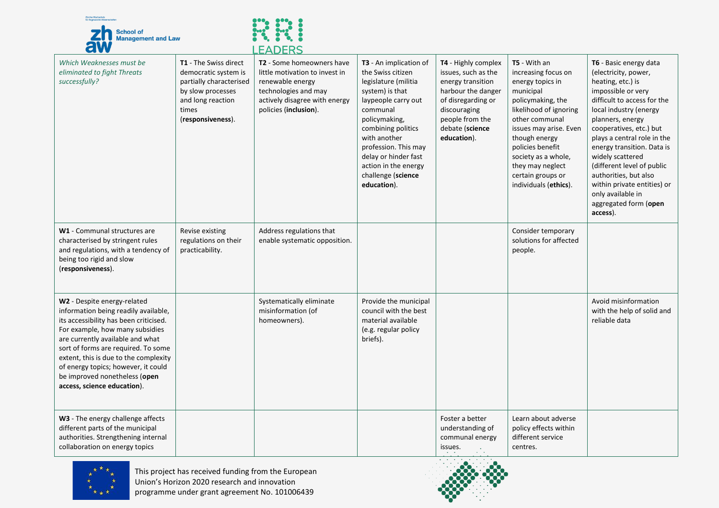



|                                                                                                                                                                                                                                                                                                                                                                             |                                                                                                                                                  | LCADERJ                                                                                                                                                           |                                                                                                                                                                                                                                                                                               |                                                                                                                                                                                  |                                                                                                                                                                                                                                                                                               |                                                                                                                                                                                                                                                                                                                                                                                                                                    |
|-----------------------------------------------------------------------------------------------------------------------------------------------------------------------------------------------------------------------------------------------------------------------------------------------------------------------------------------------------------------------------|--------------------------------------------------------------------------------------------------------------------------------------------------|-------------------------------------------------------------------------------------------------------------------------------------------------------------------|-----------------------------------------------------------------------------------------------------------------------------------------------------------------------------------------------------------------------------------------------------------------------------------------------|----------------------------------------------------------------------------------------------------------------------------------------------------------------------------------|-----------------------------------------------------------------------------------------------------------------------------------------------------------------------------------------------------------------------------------------------------------------------------------------------|------------------------------------------------------------------------------------------------------------------------------------------------------------------------------------------------------------------------------------------------------------------------------------------------------------------------------------------------------------------------------------------------------------------------------------|
| Which Weaknesses must be<br>eliminated to fight Threats<br>successfully?                                                                                                                                                                                                                                                                                                    | T1 - The Swiss direct<br>democratic system is<br>partially characterised<br>by slow processes<br>and long reaction<br>times<br>(responsiveness). | T2 - Some homeowners have<br>little motivation to invest in<br>renewable energy<br>technologies and may<br>actively disagree with energy<br>policies (inclusion). | T3 - An implication of<br>the Swiss citizen<br>legislature (militia<br>system) is that<br>laypeople carry out<br>communal<br>policymaking,<br>combining politics<br>with another<br>profession. This may<br>delay or hinder fast<br>action in the energy<br>challenge (science<br>education). | T4 - Highly complex<br>issues, such as the<br>energy transition<br>harbour the danger<br>of disregarding or<br>discouraging<br>people from the<br>debate (science<br>education). | T5 - With an<br>increasing focus on<br>energy topics in<br>municipal<br>policymaking, the<br>likelihood of ignoring<br>other communal<br>issues may arise. Even<br>though energy<br>policies benefit<br>society as a whole,<br>they may neglect<br>certain groups or<br>individuals (ethics). | T6 - Basic energy data<br>(electricity, power,<br>heating, etc.) is<br>impossible or very<br>difficult to access for the<br>local industry (energy<br>planners, energy<br>cooperatives, etc.) but<br>plays a central role in the<br>energy transition. Data is<br>widely scattered<br>(different level of public<br>authorities, but also<br>within private entities) or<br>only available in<br>aggregated form (open<br>access). |
| W1 - Communal structures are<br>characterised by stringent rules<br>and regulations, with a tendency of<br>being too rigid and slow<br>(responsiveness).                                                                                                                                                                                                                    | Revise existing<br>regulations on their<br>practicability.                                                                                       | Address regulations that<br>enable systematic opposition.                                                                                                         |                                                                                                                                                                                                                                                                                               |                                                                                                                                                                                  | Consider temporary<br>solutions for affected<br>people.                                                                                                                                                                                                                                       |                                                                                                                                                                                                                                                                                                                                                                                                                                    |
| W2 - Despite energy-related<br>information being readily available,<br>its accessibility has been criticised.<br>For example, how many subsidies<br>are currently available and what<br>sort of forms are required. To some<br>extent, this is due to the complexity<br>of energy topics; however, it could<br>be improved nonetheless (open<br>access, science education). |                                                                                                                                                  | Systematically eliminate<br>misinformation (of<br>homeowners).                                                                                                    | Provide the municipal<br>council with the best<br>material available<br>(e.g. regular policy<br>briefs).                                                                                                                                                                                      |                                                                                                                                                                                  |                                                                                                                                                                                                                                                                                               | Avoid misinformation<br>with the help of solid and<br>reliable data                                                                                                                                                                                                                                                                                                                                                                |
| W3 - The energy challenge affects<br>different parts of the municipal<br>authorities. Strengthening internal<br>collaboration on energy topics                                                                                                                                                                                                                              |                                                                                                                                                  |                                                                                                                                                                   |                                                                                                                                                                                                                                                                                               | Foster a better<br>understanding of<br>communal energy<br>issues.                                                                                                                | Learn about adverse<br>policy effects within<br>different service<br>centres.                                                                                                                                                                                                                 |                                                                                                                                                                                                                                                                                                                                                                                                                                    |



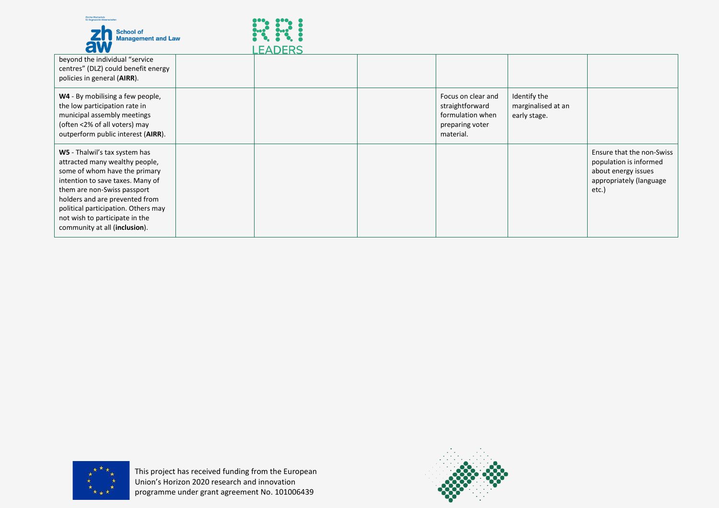



| .                                                                                                                                                                                                                                                                                                               | LLADLNJ |                                                                                           |                                                    |                                                                                                                |
|-----------------------------------------------------------------------------------------------------------------------------------------------------------------------------------------------------------------------------------------------------------------------------------------------------------------|---------|-------------------------------------------------------------------------------------------|----------------------------------------------------|----------------------------------------------------------------------------------------------------------------|
| beyond the individual "service<br>centres" (DLZ) could benefit energy<br>policies in general (AIRR).                                                                                                                                                                                                            |         |                                                                                           |                                                    |                                                                                                                |
| W4 - By mobilising a few people,<br>the low participation rate in<br>municipal assembly meetings<br>(often <2% of all voters) may<br>outperform public interest (AIRR).                                                                                                                                         |         | Focus on clear and<br>straightforward<br>formulation when<br>preparing voter<br>material. | Identify the<br>marginalised at an<br>early stage. |                                                                                                                |
| W5 - Thalwil's tax system has<br>attracted many wealthy people,<br>some of whom have the primary<br>intention to save taxes. Many of<br>them are non-Swiss passport<br>holders and are prevented from<br>political participation. Others may<br>not wish to participate in the<br>community at all (inclusion). |         |                                                                                           |                                                    | Ensure that the non-Swiss<br>population is informed<br>about energy issues<br>appropriately (language<br>etc.) |



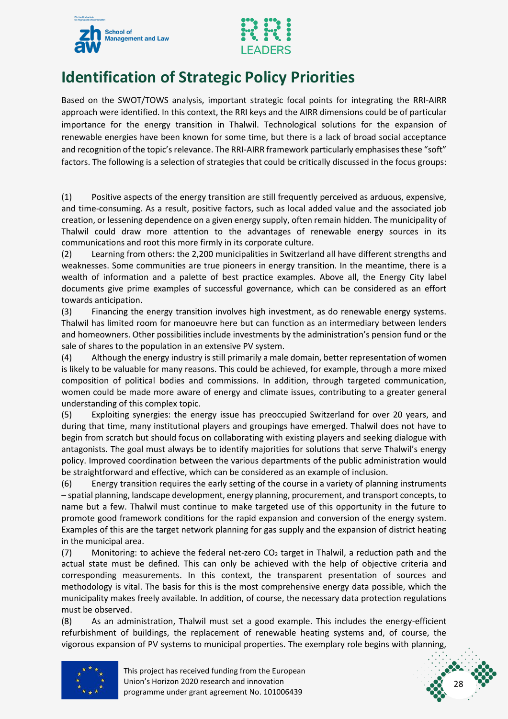



### <span id="page-28-0"></span>**Identification of Strategic Policy Priorities**

Based on the SWOT/TOWS analysis, important strategic focal points for integrating the RRI-AIRR approach were identified. In this context, the RRI keys and the AIRR dimensions could be of particular importance for the energy transition in Thalwil. Technological solutions for the expansion of renewable energies have been known for some time, but there is a lack of broad social acceptance and recognition of the topic's relevance. The RRI-AIRR framework particularly emphasises these "soft" factors. The following is a selection of strategies that could be critically discussed in the focus groups:

(1) Positive aspects of the energy transition are still frequently perceived as arduous, expensive, and time-consuming. As a result, positive factors, such as local added value and the associated job creation, or lessening dependence on a given energy supply, often remain hidden. The municipality of Thalwil could draw more attention to the advantages of renewable energy sources in its communications and root this more firmly in its corporate culture.

(2) Learning from others: the 2,200 municipalities in Switzerland all have different strengths and weaknesses. Some communities are true pioneers in energy transition. In the meantime, there is a wealth of information and a palette of best practice examples. Above all, the Energy City label documents give prime examples of successful governance, which can be considered as an effort towards anticipation.

(3) Financing the energy transition involves high investment, as do renewable energy systems. Thalwil has limited room for manoeuvre here but can function as an intermediary between lenders and homeowners. Other possibilities include investments by the administration's pension fund or the sale of shares to the population in an extensive PV system.

(4) Although the energy industry is still primarily a male domain, better representation of women is likely to be valuable for many reasons. This could be achieved, for example, through a more mixed composition of political bodies and commissions. In addition, through targeted communication, women could be made more aware of energy and climate issues, contributing to a greater general understanding of this complex topic.

(5) Exploiting synergies: the energy issue has preoccupied Switzerland for over 20 years, and during that time, many institutional players and groupings have emerged. Thalwil does not have to begin from scratch but should focus on collaborating with existing players and seeking dialogue with antagonists. The goal must always be to identify majorities for solutions that serve Thalwil's energy policy. Improved coordination between the various departments of the public administration would be straightforward and effective, which can be considered as an example of inclusion.

(6) Energy transition requires the early setting of the course in a variety of planning instruments – spatial planning, landscape development, energy planning, procurement, and transport concepts, to name but a few. Thalwil must continue to make targeted use of this opportunity in the future to promote good framework conditions for the rapid expansion and conversion of the energy system. Examples of this are the target network planning for gas supply and the expansion of district heating in the municipal area.

(7) Monitoring: to achieve the federal net-zero  $CO<sub>2</sub>$  target in Thalwil, a reduction path and the actual state must be defined. This can only be achieved with the help of objective criteria and corresponding measurements. In this context, the transparent presentation of sources and methodology is vital. The basis for this is the most comprehensive energy data possible, which the municipality makes freely available. In addition, of course, the necessary data protection regulations must be observed.

(8) As an administration, Thalwil must set a good example. This includes the energy-efficient refurbishment of buildings, the replacement of renewable heating systems and, of course, the vigorous expansion of PV systems to municipal properties. The exemplary role begins with planning,



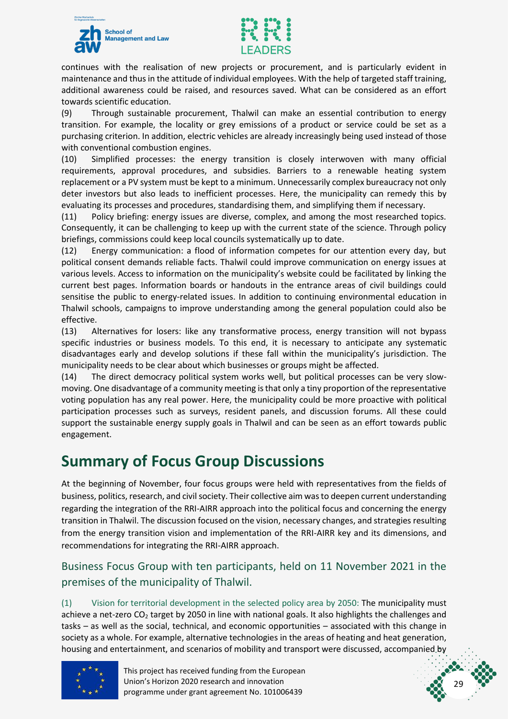



continues with the realisation of new projects or procurement, and is particularly evident in maintenance and thus in the attitude of individual employees. With the help of targeted staff training, additional awareness could be raised, and resources saved. What can be considered as an effort towards scientific education.

(9) Through sustainable procurement, Thalwil can make an essential contribution to energy transition. For example, the locality or grey emissions of a product or service could be set as a purchasing criterion. In addition, electric vehicles are already increasingly being used instead of those with conventional combustion engines.

(10) Simplified processes: the energy transition is closely interwoven with many official requirements, approval procedures, and subsidies. Barriers to a renewable heating system replacement or a PV system must be kept to a minimum. Unnecessarily complex bureaucracy not only deter investors but also leads to inefficient processes. Here, the municipality can remedy this by evaluating its processes and procedures, standardising them, and simplifying them if necessary.

(11) Policy briefing: energy issues are diverse, complex, and among the most researched topics. Consequently, it can be challenging to keep up with the current state of the science. Through policy briefings, commissions could keep local councils systematically up to date.

(12) Energy communication: a flood of information competes for our attention every day, but political consent demands reliable facts. Thalwil could improve communication on energy issues at various levels. Access to information on the municipality's website could be facilitated by linking the current best pages. Information boards or handouts in the entrance areas of civil buildings could sensitise the public to energy-related issues. In addition to continuing environmental education in Thalwil schools, campaigns to improve understanding among the general population could also be effective.

(13) Alternatives for losers: like any transformative process, energy transition will not bypass specific industries or business models. To this end, it is necessary to anticipate any systematic disadvantages early and develop solutions if these fall within the municipality's jurisdiction. The municipality needs to be clear about which businesses or groups might be affected.

(14) The direct democracy political system works well, but political processes can be very slowmoving. One disadvantage of a community meeting is that only a tiny proportion of the representative voting population has any real power. Here, the municipality could be more proactive with political participation processes such as surveys, resident panels, and discussion forums. All these could support the sustainable energy supply goals in Thalwil and can be seen as an effort towards public engagement.

### <span id="page-29-0"></span>**Summary of Focus Group Discussions**

At the beginning of November, four focus groups were held with representatives from the fields of business, politics, research, and civil society. Their collective aim was to deepen current understanding regarding the integration of the RRI-AIRR approach into the political focus and concerning the energy transition in Thalwil. The discussion focused on the vision, necessary changes, and strategies resulting from the energy transition vision and implementation of the RRI-AIRR key and its dimensions, and recommendations for integrating the RRI-AIRR approach.

#### <span id="page-29-1"></span>Business Focus Group with ten participants, held on 11 November 2021 in the premises of the municipality of Thalwil.

(1) Vision for territorial development in the selected policy area by 2050: The municipality must achieve a net-zero  $CO<sub>2</sub>$  target by 2050 in line with national goals. It also highlights the challenges and tasks – as well as the social, technical, and economic opportunities – associated with this change in society as a whole. For example, alternative technologies in the areas of heating and heat generation, housing and entertainment, and scenarios of mobility and transport were discussed, accompanied by



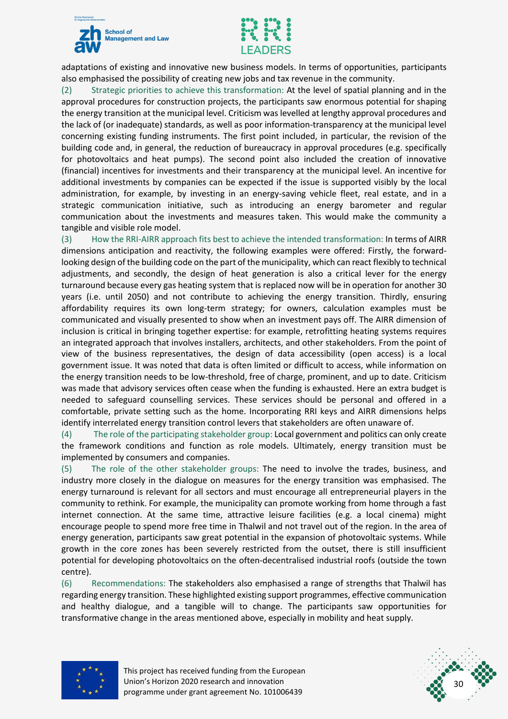



adaptations of existing and innovative new business models. In terms of opportunities, participants also emphasised the possibility of creating new jobs and tax revenue in the community.

(2) Strategic priorities to achieve this transformation: At the level of spatial planning and in the approval procedures for construction projects, the participants saw enormous potential for shaping the energy transition at the municipal level. Criticism was levelled at lengthy approval procedures and the lack of (or inadequate) standards, as well as poor information-transparency at the municipal level concerning existing funding instruments. The first point included, in particular, the revision of the building code and, in general, the reduction of bureaucracy in approval procedures (e.g. specifically for photovoltaics and heat pumps). The second point also included the creation of innovative (financial) incentives for investments and their transparency at the municipal level. An incentive for additional investments by companies can be expected if the issue is supported visibly by the local administration, for example, by investing in an energy-saving vehicle fleet, real estate, and in a strategic communication initiative, such as introducing an energy barometer and regular communication about the investments and measures taken. This would make the community a tangible and visible role model.

(3) How the RRI-AIRR approach fits best to achieve the intended transformation: In terms of AIRR dimensions anticipation and reactivity, the following examples were offered: Firstly, the forwardlooking design of the building code on the part of the municipality, which can react flexibly to technical adjustments, and secondly, the design of heat generation is also a critical lever for the energy turnaround because every gas heating system that is replaced now will be in operation for another 30 years (i.e. until 2050) and not contribute to achieving the energy transition. Thirdly, ensuring affordability requires its own long-term strategy; for owners, calculation examples must be communicated and visually presented to show when an investment pays off. The AIRR dimension of inclusion is critical in bringing together expertise: for example, retrofitting heating systems requires an integrated approach that involves installers, architects, and other stakeholders. From the point of view of the business representatives, the design of data accessibility (open access) is a local government issue. It was noted that data is often limited or difficult to access, while information on the energy transition needs to be low-threshold, free of charge, prominent, and up to date. Criticism was made that advisory services often cease when the funding is exhausted. Here an extra budget is needed to safeguard counselling services. These services should be personal and offered in a comfortable, private setting such as the home. Incorporating RRI keys and AIRR dimensions helps identify interrelated energy transition control levers that stakeholders are often unaware of.

(4) The role of the participating stakeholder group: Local government and politics can only create the framework conditions and function as role models. Ultimately, energy transition must be implemented by consumers and companies.

(5) The role of the other stakeholder groups: The need to involve the trades, business, and industry more closely in the dialogue on measures for the energy transition was emphasised. The energy turnaround is relevant for all sectors and must encourage all entrepreneurial players in the community to rethink. For example, the municipality can promote working from home through a fast internet connection. At the same time, attractive leisure facilities (e.g. a local cinema) might encourage people to spend more free time in Thalwil and not travel out of the region. In the area of energy generation, participants saw great potential in the expansion of photovoltaic systems. While growth in the core zones has been severely restricted from the outset, there is still insufficient potential for developing photovoltaics on the often-decentralised industrial roofs (outside the town centre).

(6) Recommendations: The stakeholders also emphasised a range of strengths that Thalwil has regarding energy transition. These highlighted existing support programmes, effective communication and healthy dialogue, and a tangible will to change. The participants saw opportunities for transformative change in the areas mentioned above, especially in mobility and heat supply.



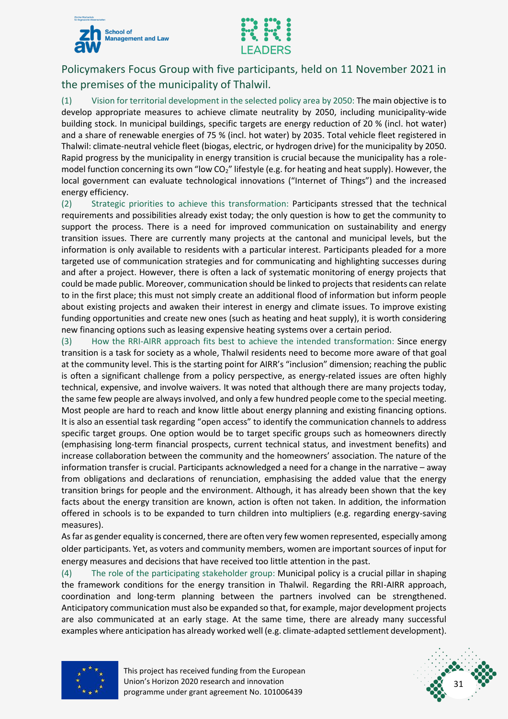



<span id="page-31-0"></span>Policymakers Focus Group with five participants, held on 11 November 2021 in the premises of the municipality of Thalwil.

(1) Vision for territorial development in the selected policy area by 2050: The main objective is to develop appropriate measures to achieve climate neutrality by 2050, including municipality-wide building stock. In municipal buildings, specific targets are energy reduction of 20 % (incl. hot water) and a share of renewable energies of 75 % (incl. hot water) by 2035. Total vehicle fleet registered in Thalwil: climate-neutral vehicle fleet (biogas, electric, or hydrogen drive) for the municipality by 2050. Rapid progress by the municipality in energy transition is crucial because the municipality has a rolemodel function concerning its own "low  $CO<sub>2</sub>$ " lifestyle (e.g. for heating and heat supply). However, the local government can evaluate technological innovations ("Internet of Things") and the increased energy efficiency.

(2) Strategic priorities to achieve this transformation: Participants stressed that the technical requirements and possibilities already exist today; the only question is how to get the community to support the process. There is a need for improved communication on sustainability and energy transition issues. There are currently many projects at the cantonal and municipal levels, but the information is only available to residents with a particular interest. Participants pleaded for a more targeted use of communication strategies and for communicating and highlighting successes during and after a project. However, there is often a lack of systematic monitoring of energy projects that could be made public. Moreover, communication should be linked to projects that residents can relate to in the first place; this must not simply create an additional flood of information but inform people about existing projects and awaken their interest in energy and climate issues. To improve existing funding opportunities and create new ones (such as heating and heat supply), it is worth considering new financing options such as leasing expensive heating systems over a certain period.

(3) How the RRI-AIRR approach fits best to achieve the intended transformation: Since energy transition is a task for society as a whole, Thalwil residents need to become more aware of that goal at the community level. This is the starting point for AIRR's "inclusion" dimension; reaching the public is often a significant challenge from a policy perspective, as energy-related issues are often highly technical, expensive, and involve waivers. It was noted that although there are many projects today, the same few people are always involved, and only a few hundred people come to the special meeting. Most people are hard to reach and know little about energy planning and existing financing options. It is also an essential task regarding "open access" to identify the communication channels to address specific target groups. One option would be to target specific groups such as homeowners directly (emphasising long-term financial prospects, current technical status, and investment benefits) and increase collaboration between the community and the homeowners' association. The nature of the information transfer is crucial. Participants acknowledged a need for a change in the narrative – away from obligations and declarations of renunciation, emphasising the added value that the energy transition brings for people and the environment. Although, it has already been shown that the key facts about the energy transition are known, action is often not taken. In addition, the information offered in schools is to be expanded to turn children into multipliers (e.g. regarding energy-saving measures).

As far as gender equality is concerned, there are often very few women represented, especially among older participants. Yet, as voters and community members, women are important sources of input for energy measures and decisions that have received too little attention in the past.

(4) The role of the participating stakeholder group: Municipal policy is a crucial pillar in shaping the framework conditions for the energy transition in Thalwil. Regarding the RRI-AIRR approach, coordination and long-term planning between the partners involved can be strengthened. Anticipatory communication must also be expanded so that, for example, major development projects are also communicated at an early stage. At the same time, there are already many successful examples where anticipation has already worked well (e.g. climate-adapted settlement development).



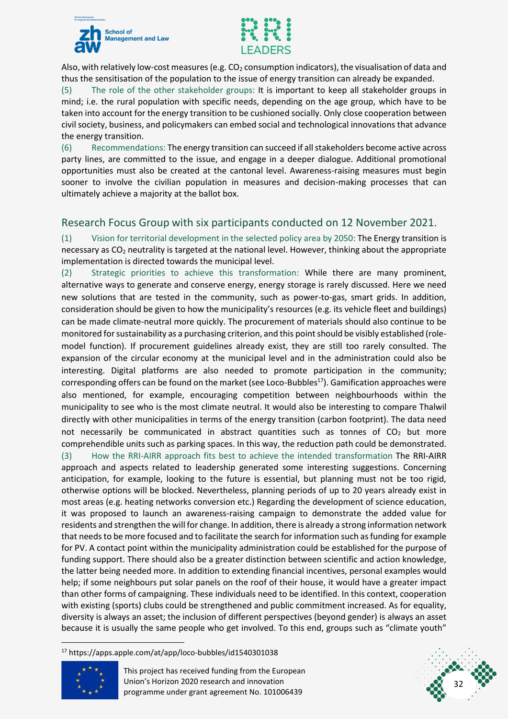



Also, with relatively low-cost measures (e.g.  $CO<sub>2</sub>$  consumption indicators), the visualisation of data and thus the sensitisation of the population to the issue of energy transition can already be expanded.

(5) The role of the other stakeholder groups: It is important to keep all stakeholder groups in mind; i.e. the rural population with specific needs, depending on the age group, which have to be taken into account for the energy transition to be cushioned socially. Only close cooperation between civil society, business, and policymakers can embed social and technological innovations that advance the energy transition.

(6) Recommendations: The energy transition can succeed if all stakeholders become active across party lines, are committed to the issue, and engage in a deeper dialogue. Additional promotional opportunities must also be created at the cantonal level. Awareness-raising measures must begin sooner to involve the civilian population in measures and decision-making processes that can ultimately achieve a majority at the ballot box.

#### <span id="page-32-0"></span>Research Focus Group with six participants conducted on 12 November 2021.

(1) Vision for territorial development in the selected policy area by 2050: The Energy transition is necessary as CO<sup>2</sup> neutrality is targeted at the national level. However, thinking about the appropriate implementation is directed towards the municipal level.

(2) Strategic priorities to achieve this transformation: While there are many prominent, alternative ways to generate and conserve energy, energy storage is rarely discussed. Here we need new solutions that are tested in the community, such as power-to-gas, smart grids. In addition, consideration should be given to how the municipality's resources (e.g. its vehicle fleet and buildings) can be made climate-neutral more quickly. The procurement of materials should also continue to be monitored for sustainability as a purchasing criterion, and this point should be visibly established (rolemodel function). If procurement guidelines already exist, they are still too rarely consulted. The expansion of the circular economy at the municipal level and in the administration could also be interesting. Digital platforms are also needed to promote participation in the community; corresponding offers can be found on the market (see Loco-Bubbles<sup>17</sup>). Gamification approaches were also mentioned, for example, encouraging competition between neighbourhoods within the municipality to see who is the most climate neutral. It would also be interesting to compare Thalwil directly with other municipalities in terms of the energy transition (carbon footprint). The data need not necessarily be communicated in abstract quantities such as tonnes of  $CO<sub>2</sub>$  but more comprehendible units such as parking spaces. In this way, the reduction path could be demonstrated. (3) How the RRI-AIRR approach fits best to achieve the intended transformation The RRI-AIRR approach and aspects related to leadership generated some interesting suggestions. Concerning anticipation, for example, looking to the future is essential, but planning must not be too rigid, otherwise options will be blocked. Nevertheless, planning periods of up to 20 years already exist in most areas (e.g. heating networks conversion etc.) Regarding the development of science education, it was proposed to launch an awareness-raising campaign to demonstrate the added value for residents and strengthen the will for change. In addition, there is already a strong information network that needs to be more focused and to facilitate the search for information such as funding for example for PV. A contact point within the municipality administration could be established for the purpose of funding support. There should also be a greater distinction between scientific and action knowledge, the latter being needed more. In addition to extending financial incentives, personal examples would help; if some neighbours put solar panels on the roof of their house, it would have a greater impact than other forms of campaigning. These individuals need to be identified. In this context, cooperation with existing (sports) clubs could be strengthened and public commitment increased. As for equality, diversity is always an asset; the inclusion of different perspectives (beyond gender) is always an asset because it is usually the same people who get involved. To this end, groups such as "climate youth"

<sup>17</sup> https://apps.apple.com/at/app/loco-bubbles/id1540301038



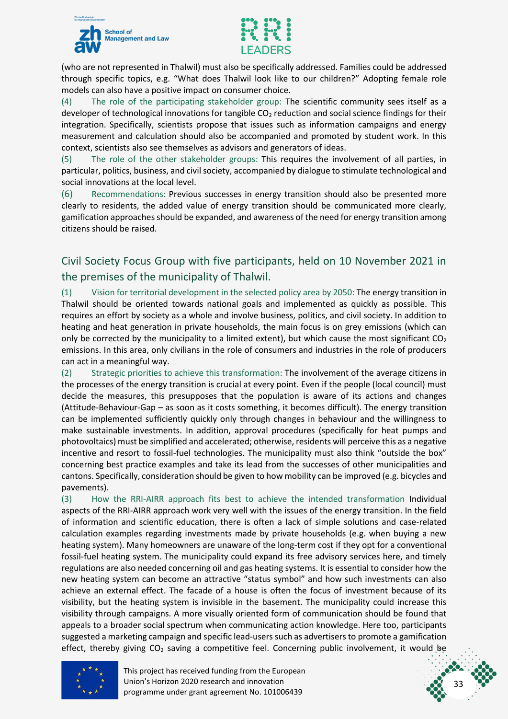



(who are not represented in Thalwil) must also be specifically addressed. Families could be addressed through specific topics, e.g. "What does Thalwil look like to our children?" Adopting female role models can also have a positive impact on consumer choice.

(4) The role of the participating stakeholder group: The scientific community sees itself as a developer of technological innovations for tangible CO<sub>2</sub> reduction and social science findings for their integration. Specifically, scientists propose that issues such as information campaigns and energy measurement and calculation should also be accompanied and promoted by student work. In this context, scientists also see themselves as advisors and generators of ideas.

(5) The role of the other stakeholder groups: This requires the involvement of all parties, in particular, politics, business, and civil society, accompanied by dialogue to stimulate technological and social innovations at the local level.

(6) Recommendations: Previous successes in energy transition should also be presented more clearly to residents, the added value of energy transition should be communicated more clearly, gamification approaches should be expanded, and awareness of the need for energy transition among citizens should be raised.

<span id="page-33-0"></span>Civil Society Focus Group with five participants, held on 10 November 2021 in the premises of the municipality of Thalwil.

(1) Vision for territorial development in the selected policy area by 2050: The energy transition in Thalwil should be oriented towards national goals and implemented as quickly as possible. This requires an effort by society as a whole and involve business, politics, and civil society. In addition to heating and heat generation in private households, the main focus is on grey emissions (which can only be corrected by the municipality to a limited extent), but which cause the most significant  $CO<sub>2</sub>$ emissions. In this area, only civilians in the role of consumers and industries in the role of producers can act in a meaningful way.

(2) Strategic priorities to achieve this transformation: The involvement of the average citizens in the processes of the energy transition is crucial at every point. Even if the people (local council) must decide the measures, this presupposes that the population is aware of its actions and changes (Attitude-Behaviour-Gap – as soon as it costs something, it becomes difficult). The energy transition can be implemented sufficiently quickly only through changes in behaviour and the willingness to make sustainable investments. In addition, approval procedures (specifically for heat pumps and photovoltaics) must be simplified and accelerated; otherwise, residents will perceive this as a negative incentive and resort to fossil-fuel technologies. The municipality must also think "outside the box" concerning best practice examples and take its lead from the successes of other municipalities and cantons. Specifically, consideration should be given to how mobility can be improved (e.g. bicycles and pavements).

(3) How the RRI-AIRR approach fits best to achieve the intended transformation Individual aspects of the RRI-AIRR approach work very well with the issues of the energy transition. In the field of information and scientific education, there is often a lack of simple solutions and case-related calculation examples regarding investments made by private households (e.g. when buying a new heating system). Many homeowners are unaware of the long-term cost if they opt for a conventional fossil-fuel heating system. The municipality could expand its free advisory services here, and timely regulations are also needed concerning oil and gas heating systems. It is essential to consider how the new heating system can become an attractive "status symbol" and how such investments can also achieve an external effect. The facade of a house is often the focus of investment because of its visibility, but the heating system is invisible in the basement. The municipality could increase this visibility through campaigns. A more visually oriented form of communication should be found that appeals to a broader social spectrum when communicating action knowledge. Here too, participants suggested a marketing campaign and specific lead-users such as advertisers to promote a gamification effect, thereby giving CO<sub>2</sub> saving a competitive feel. Concerning public involvement, it would be



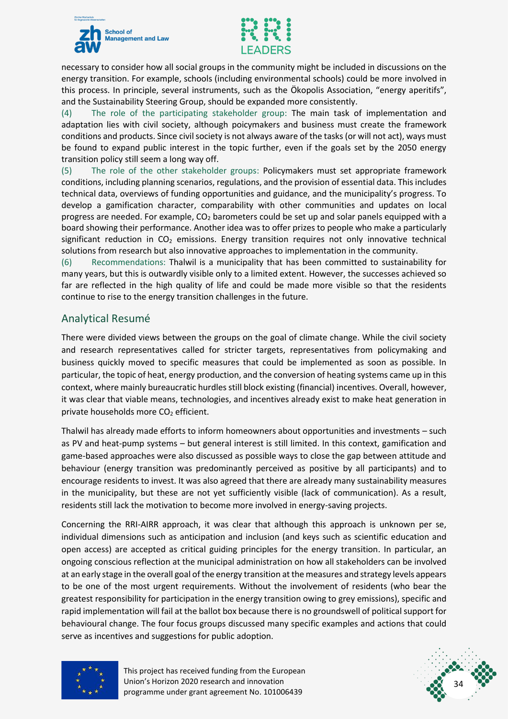



necessary to consider how all social groups in the community might be included in discussions on the energy transition. For example, schools (including environmental schools) could be more involved in this process. In principle, several instruments, such as the Ökopolis Association, "energy aperitifs", and the Sustainability Steering Group, should be expanded more consistently.

(4) The role of the participating stakeholder group: The main task of implementation and adaptation lies with civil society, although poicymakers and business must create the framework conditions and products. Since civil society is not always aware of the tasks (or will not act), ways must be found to expand public interest in the topic further, even if the goals set by the 2050 energy transition policy still seem a long way off.

(5) The role of the other stakeholder groups: Policymakers must set appropriate framework conditions, including planning scenarios, regulations, and the provision of essential data. This includes technical data, overviews of funding opportunities and guidance, and the municipality's progress. To develop a gamification character, comparability with other communities and updates on local progress are needed. For example, CO<sup>2</sup> barometers could be set up and solar panels equipped with a board showing their performance. Another idea was to offer prizes to people who make a particularly significant reduction in  $CO<sub>2</sub>$  emissions. Energy transition requires not only innovative technical solutions from research but also innovative approaches to implementation in the community.

(6) Recommendations: Thalwil is a municipality that has been committed to sustainability for many years, but this is outwardly visible only to a limited extent. However, the successes achieved so far are reflected in the high quality of life and could be made more visible so that the residents continue to rise to the energy transition challenges in the future.

#### <span id="page-34-0"></span>Analytical Resumé

There were divided views between the groups on the goal of climate change. While the civil society and research representatives called for stricter targets, representatives from policymaking and business quickly moved to specific measures that could be implemented as soon as possible. In particular, the topic of heat, energy production, and the conversion of heating systems came up in this context, where mainly bureaucratic hurdles still block existing (financial) incentives. Overall, however, it was clear that viable means, technologies, and incentives already exist to make heat generation in private households more  $CO<sub>2</sub>$  efficient.

Thalwil has already made efforts to inform homeowners about opportunities and investments – such as PV and heat-pump systems – but general interest is still limited. In this context, gamification and game-based approaches were also discussed as possible ways to close the gap between attitude and behaviour (energy transition was predominantly perceived as positive by all participants) and to encourage residents to invest. It was also agreed that there are already many sustainability measures in the municipality, but these are not yet sufficiently visible (lack of communication). As a result, residents still lack the motivation to become more involved in energy-saving projects.

Concerning the RRI-AIRR approach, it was clear that although this approach is unknown per se, individual dimensions such as anticipation and inclusion (and keys such as scientific education and open access) are accepted as critical guiding principles for the energy transition. In particular, an ongoing conscious reflection at the municipal administration on how all stakeholders can be involved at an early stage in the overall goal of the energy transition at the measures and strategy levels appears to be one of the most urgent requirements. Without the involvement of residents (who bear the greatest responsibility for participation in the energy transition owing to grey emissions), specific and rapid implementation will fail at the ballot box because there is no groundswell of political support for behavioural change. The four focus groups discussed many specific examples and actions that could serve as incentives and suggestions for public adoption.



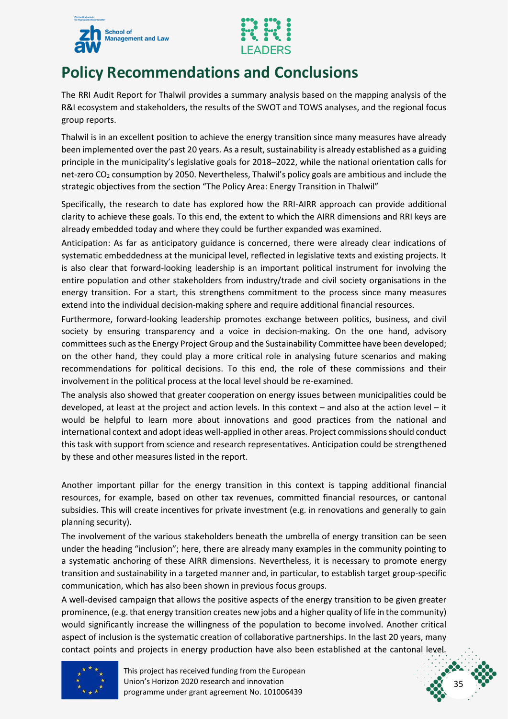



### <span id="page-35-0"></span>**Policy Recommendations and Conclusions**

The RRI Audit Report for Thalwil provides a summary analysis based on the mapping analysis of the R&I ecosystem and stakeholders, the results of the SWOT and TOWS analyses, and the regional focus group reports.

Thalwil is in an excellent position to achieve the energy transition since many measures have already been implemented over the past 20 years. As a result, sustainability is already established as a guiding principle in the municipality's legislative goals for 2018–2022, while the national orientation calls for net-zero CO<sub>2</sub> consumption by 2050. Nevertheless, Thalwil's policy goals are ambitious and include the strategic objectives from the section "The Policy Area: Energy Transition in Thalwil"

Specifically, the research to date has explored how the RRI-AIRR approach can provide additional clarity to achieve these goals. To this end, the extent to which the AIRR dimensions and RRI keys are already embedded today and where they could be further expanded was examined.

Anticipation: As far as anticipatory guidance is concerned, there were already clear indications of systematic embeddedness at the municipal level, reflected in legislative texts and existing projects. It is also clear that forward-looking leadership is an important political instrument for involving the entire population and other stakeholders from industry/trade and civil society organisations in the energy transition. For a start, this strengthens commitment to the process since many measures extend into the individual decision-making sphere and require additional financial resources.

Furthermore, forward-looking leadership promotes exchange between politics, business, and civil society by ensuring transparency and a voice in decision-making. On the one hand, advisory committees such as the Energy Project Group and the Sustainability Committee have been developed; on the other hand, they could play a more critical role in analysing future scenarios and making recommendations for political decisions. To this end, the role of these commissions and their involvement in the political process at the local level should be re-examined.

The analysis also showed that greater cooperation on energy issues between municipalities could be developed, at least at the project and action levels. In this context – and also at the action level – it would be helpful to learn more about innovations and good practices from the national and international context and adopt ideas well-applied in other areas. Project commissions should conduct this task with support from science and research representatives. Anticipation could be strengthened by these and other measures listed in the report.

Another important pillar for the energy transition in this context is tapping additional financial resources, for example, based on other tax revenues, committed financial resources, or cantonal subsidies. This will create incentives for private investment (e.g. in renovations and generally to gain planning security).

The involvement of the various stakeholders beneath the umbrella of energy transition can be seen under the heading "inclusion"; here, there are already many examples in the community pointing to a systematic anchoring of these AIRR dimensions. Nevertheless, it is necessary to promote energy transition and sustainability in a targeted manner and, in particular, to establish target group-specific communication, which has also been shown in previous focus groups.

A well-devised campaign that allows the positive aspects of the energy transition to be given greater prominence, (e.g. that energy transition creates new jobs and a higher quality of life in the community) would significantly increase the willingness of the population to become involved. Another critical aspect of inclusion is the systematic creation of collaborative partnerships. In the last 20 years, many contact points and projects in energy production have also been established at the cantonal level.